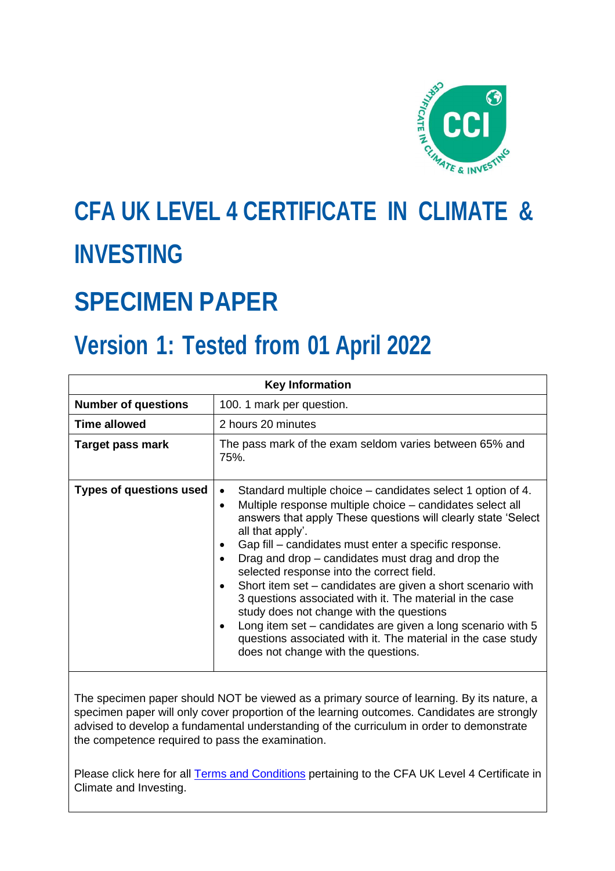

# **CFA UK LEVEL 4 CERTIFICATE IN CLIMATE & INVESTING**

# **SPECIMEN PAPER**

# **Version 1: Tested from 01 April 2022**

| <b>Key Information</b>         |                                                                                                                                                                                                                                                                                                                                                                                                                                                                                                                                                                                                                                                                                                                                                                   |  |  |
|--------------------------------|-------------------------------------------------------------------------------------------------------------------------------------------------------------------------------------------------------------------------------------------------------------------------------------------------------------------------------------------------------------------------------------------------------------------------------------------------------------------------------------------------------------------------------------------------------------------------------------------------------------------------------------------------------------------------------------------------------------------------------------------------------------------|--|--|
| <b>Number of questions</b>     | 100. 1 mark per question.                                                                                                                                                                                                                                                                                                                                                                                                                                                                                                                                                                                                                                                                                                                                         |  |  |
| <b>Time allowed</b>            | 2 hours 20 minutes                                                                                                                                                                                                                                                                                                                                                                                                                                                                                                                                                                                                                                                                                                                                                |  |  |
| Target pass mark               | The pass mark of the exam seldom varies between 65% and<br>75%                                                                                                                                                                                                                                                                                                                                                                                                                                                                                                                                                                                                                                                                                                    |  |  |
| <b>Types of questions used</b> | Standard multiple choice – candidates select 1 option of 4.<br>Multiple response multiple choice – candidates select all<br>$\bullet$<br>answers that apply These questions will clearly state 'Select<br>all that apply'.<br>Gap fill – candidates must enter a specific response.<br>$\bullet$<br>Drag and drop – candidates must drag and drop the<br>selected response into the correct field.<br>Short item set – candidates are given a short scenario with<br>٠<br>3 questions associated with it. The material in the case<br>study does not change with the questions<br>Long item set – candidates are given a long scenario with 5<br>$\bullet$<br>questions associated with it. The material in the case study<br>does not change with the questions. |  |  |

The specimen paper should NOT be viewed as a primary source of learning. By its nature, a specimen paper will only cover proportion of the learning outcomes. Candidates are strongly advised to develop a fundamental understanding of the curriculum in order to demonstrate the competence required to pass the examination.

Please click here for all **Terms and Conditions** pertaining to the CFA UK Level 4 Certificate in Climate and Investing.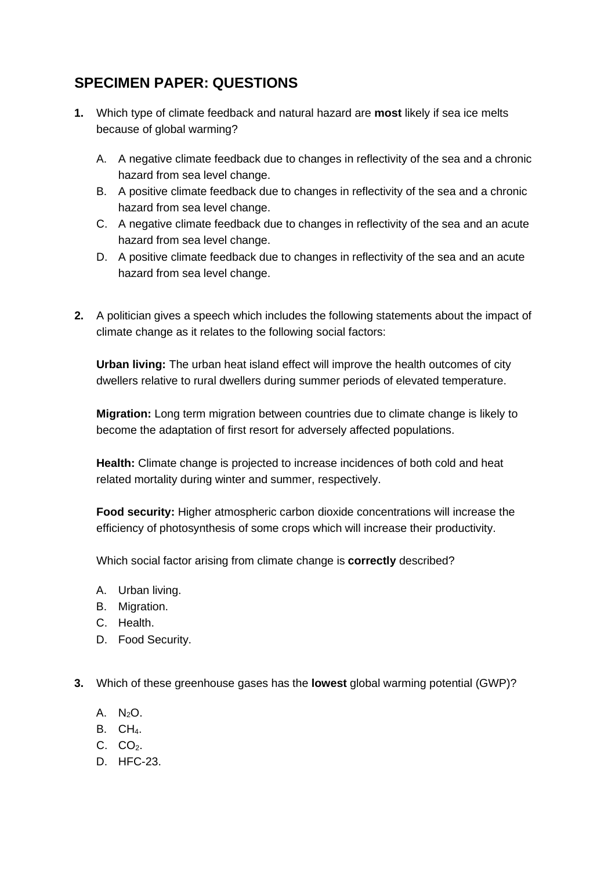# **SPECIMEN PAPER: QUESTIONS**

- **1.** Which type of climate feedback and natural hazard are **most** likely if sea ice melts because of global warming?
	- A. A negative climate feedback due to changes in reflectivity of the sea and a chronic hazard from sea level change.
	- B. A positive climate feedback due to changes in reflectivity of the sea and a chronic hazard from sea level change.
	- C. A negative climate feedback due to changes in reflectivity of the sea and an acute hazard from sea level change.
	- D. A positive climate feedback due to changes in reflectivity of the sea and an acute hazard from sea level change.
- **2.** A politician gives a speech which includes the following statements about the impact of climate change as it relates to the following social factors:

**Urban living:** The urban heat island effect will improve the health outcomes of city dwellers relative to rural dwellers during summer periods of elevated temperature.

**Migration:** Long term migration between countries due to climate change is likely to become the adaptation of first resort for adversely affected populations.

**Health:** Climate change is projected to increase incidences of both cold and heat related mortality during winter and summer, respectively.

**Food security:** Higher atmospheric carbon dioxide concentrations will increase the efficiency of photosynthesis of some crops which will increase their productivity.

Which social factor arising from climate change is **correctly** described?

- A. Urban living.
- B. Migration.
- C. Health.
- D. Food Security.

**3.** Which of these greenhouse gases has the **lowest** global warming potential (GWP)?

- A. N2O.
- B. CH<sub>4</sub>.
- $C. CO<sub>2</sub>.$
- D. HFC-23.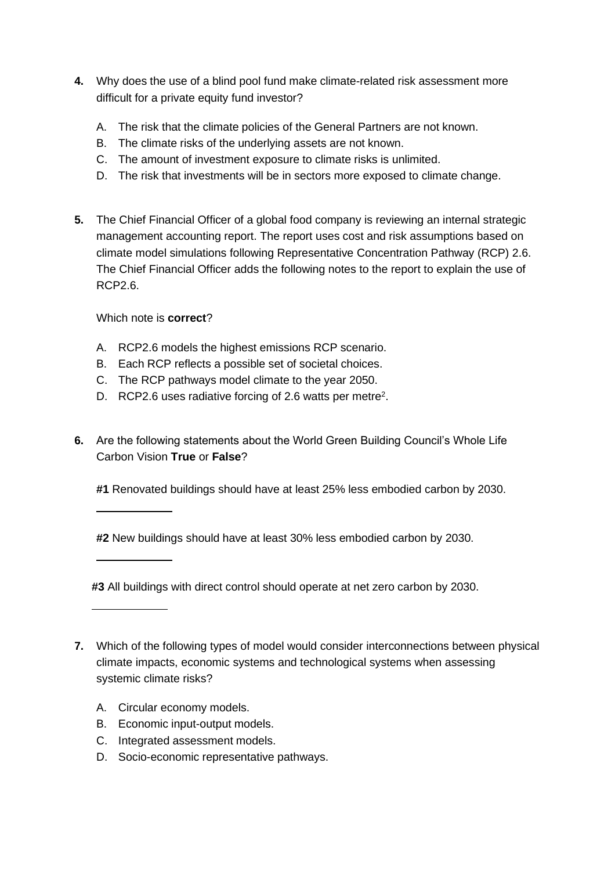- **4.** Why does the use of a blind pool fund make climate-related risk assessment more difficult for a private equity fund investor?
	- A. The risk that the climate policies of the General Partners are not known.
	- B. The climate risks of the underlying assets are not known.
	- C. The amount of investment exposure to climate risks is unlimited.
	- D. The risk that investments will be in sectors more exposed to climate change.
- **5.** The Chief Financial Officer of a global food company is reviewing an internal strategic management accounting report. The report uses cost and risk assumptions based on climate model simulations following Representative Concentration Pathway (RCP) 2.6. The Chief Financial Officer adds the following notes to the report to explain the use of RCP2.6.

Which note is **correct**?

- A. RCP2.6 models the highest emissions RCP scenario.
- B. Each RCP reflects a possible set of societal choices.
- C. The RCP pathways model climate to the year 2050.
- D. RCP2.6 uses radiative forcing of 2.6 watts per metre<sup>2</sup>.
- **6.** Are the following statements about the World Green Building Council's Whole Life Carbon Vision **True** or **False**?
	- **#1** Renovated buildings should have at least 25% less embodied carbon by 2030.

**#2** New buildings should have at least 30% less embodied carbon by 2030.

**#3** All buildings with direct control should operate at net zero carbon by 2030.

- **7.** Which of the following types of model would consider interconnections between physical climate impacts, economic systems and technological systems when assessing systemic climate risks?
	- A. Circular economy models.
	- B. Economic input-output models.
	- C. Integrated assessment models.
	- D. Socio-economic representative pathways.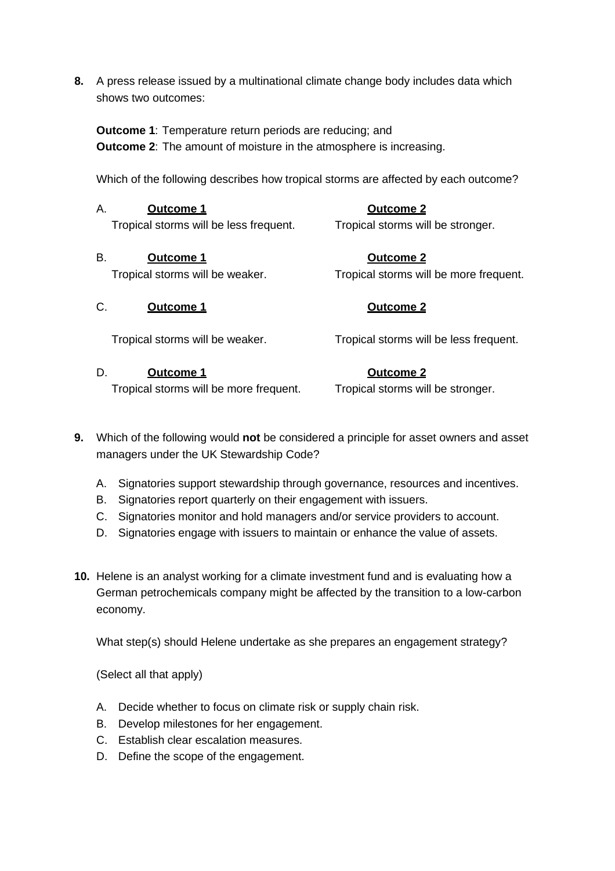**8.** A press release issued by a multinational climate change body includes data which shows two outcomes:

**Outcome 1**: Temperature return periods are reducing; and **Outcome 2**: The amount of moisture in the atmosphere is increasing.

Which of the following describes how tropical storms are affected by each outcome?

| Α.<br><b>Outcome 1</b>                 | <b>Outcome 2</b>                       |
|----------------------------------------|----------------------------------------|
| Tropical storms will be less frequent. | Tropical storms will be stronger.      |
| В.<br>Outcome 1                        | <b>Outcome 2</b>                       |
| Tropical storms will be weaker.        | Tropical storms will be more frequent. |
| C.<br>Outcome 1                        | <b>Outcome 2</b>                       |
| Tropical storms will be weaker.        | Tropical storms will be less frequent. |
|                                        |                                        |

Tropical storms will be more frequent. Tropical storms will be stronger.

- **9.** Which of the following would **not** be considered a principle for asset owners and asset managers under the UK Stewardship Code?
	- A. Signatories support stewardship through governance, resources and incentives.
	- B. Signatories report quarterly on their engagement with issuers.
	- C. Signatories monitor and hold managers and/or service providers to account.
	- D. Signatories engage with issuers to maintain or enhance the value of assets.
- **10.** Helene is an analyst working for a climate investment fund and is evaluating how a German petrochemicals company might be affected by the transition to a low-carbon economy.

What step(s) should Helene undertake as she prepares an engagement strategy?

- A. Decide whether to focus on climate risk or supply chain risk.
- B. Develop milestones for her engagement.
- C. Establish clear escalation measures.
- D. Define the scope of the engagement.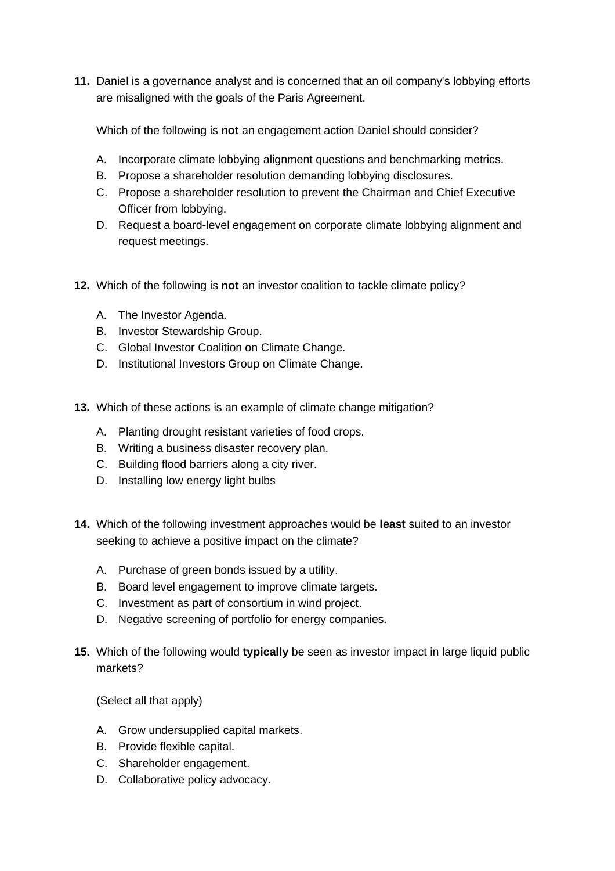**11.** Daniel is a governance analyst and is concerned that an oil company's lobbying efforts are misaligned with the goals of the Paris Agreement.

Which of the following is **not** an engagement action Daniel should consider?

- A. Incorporate climate lobbying alignment questions and benchmarking metrics.
- B. Propose a shareholder resolution demanding lobbying disclosures.
- C. Propose a shareholder resolution to prevent the Chairman and Chief Executive Officer from lobbying.
- D. Request a board-level engagement on corporate climate lobbying alignment and request meetings.
- **12.** Which of the following is **not** an investor coalition to tackle climate policy?
	- A. The Investor Agenda.
	- B. Investor Stewardship Group.
	- C. Global Investor Coalition on Climate Change.
	- D. Institutional Investors Group on Climate Change.
- **13.** Which of these actions is an example of climate change mitigation?
	- A. Planting drought resistant varieties of food crops.
	- B. Writing a business disaster recovery plan.
	- C. Building flood barriers along a city river.
	- D. Installing low energy light bulbs
- **14.** Which of the following investment approaches would be **least** suited to an investor seeking to achieve a positive impact on the climate?
	- A. Purchase of green bonds issued by a utility.
	- B. Board level engagement to improve climate targets.
	- C. Investment as part of consortium in wind project.
	- D. Negative screening of portfolio for energy companies.
- **15.** Which of the following would **typically** be seen as investor impact in large liquid public markets?

- A. Grow undersupplied capital markets.
- B. Provide flexible capital.
- C. Shareholder engagement.
- D. Collaborative policy advocacy.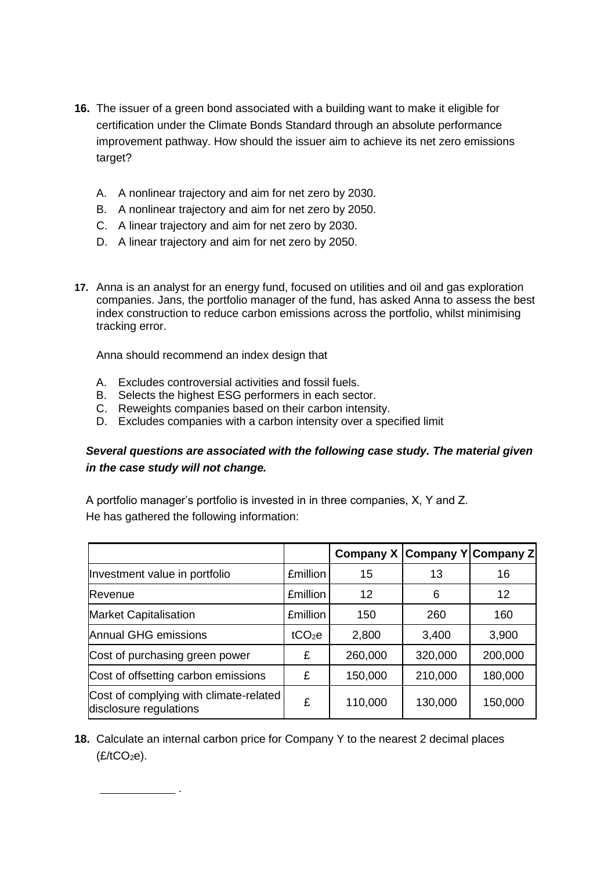- **16.** The issuer of a green bond associated with a building want to make it eligible for certification under the Climate Bonds Standard through an absolute performance improvement pathway. How should the issuer aim to achieve its net zero emissions target?
	- A. A nonlinear trajectory and aim for net zero by 2030.
	- B. A nonlinear trajectory and aim for net zero by 2050.
	- C. A linear trajectory and aim for net zero by 2030.
	- D. A linear trajectory and aim for net zero by 2050.
- **17.** Anna is an analyst for an energy fund, focused on utilities and oil and gas exploration companies. Jans, the portfolio manager of the fund, has asked Anna to assess the best index construction to reduce carbon emissions across the portfolio, whilst minimising tracking error.

Anna should recommend an index design that

.

- A. Excludes controversial activities and fossil fuels.
- B. Selects the highest ESG performers in each sector.
- C. Reweights companies based on their carbon intensity.
- D. Excludes companies with a carbon intensity over a specified limit

# *Several questions are associated with the following case study. The material given in the case study will not change.*

A portfolio manager's portfolio is invested in in three companies, X, Y and Z. He has gathered the following information:

|                                                                  |                    | Company X Company Y Company Z |         |         |
|------------------------------------------------------------------|--------------------|-------------------------------|---------|---------|
| Investment value in portfolio                                    | <b>£million</b>    | 15                            | 13      | 16      |
| <b>Revenue</b>                                                   | <b>£million</b>    | 12                            | 6       | 12      |
| <b>Market Capitalisation</b>                                     | <b>£million</b>    | 150                           | 260     | 160     |
| Annual GHG emissions                                             | tCO <sub>2</sub> e | 2,800                         | 3,400   | 3,900   |
| Cost of purchasing green power                                   | £                  | 260,000                       | 320,000 | 200,000 |
| Cost of offsetting carbon emissions                              | £                  | 150,000                       | 210,000 | 180,000 |
| Cost of complying with climate-related<br>disclosure regulations | £                  | 110,000                       | 130,000 | 150,000 |

**18.** Calculate an internal carbon price for Company Y to the nearest 2 decimal places  $(E/1CO<sub>2</sub>e)$ .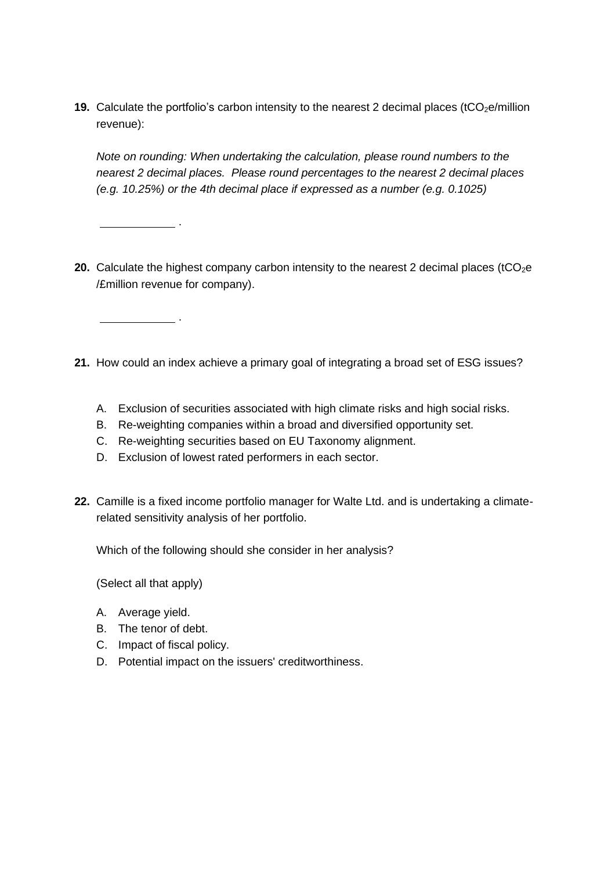**19.** Calculate the portfolio's carbon intensity to the nearest 2 decimal places (tCO<sub>2</sub>e/million revenue):

*Note on rounding: When undertaking the calculation, please round numbers to the nearest 2 decimal places. Please round percentages to the nearest 2 decimal places (e.g. 10.25%) or the 4th decimal place if expressed as a number (e.g. 0.1025)*

- **20.** Calculate the highest company carbon intensity to the nearest 2 decimal places (tCO<sub>2</sub>e /£million revenue for company).
- **21.** How could an index achieve a primary goal of integrating a broad set of ESG issues?
	- A. Exclusion of securities associated with high climate risks and high social risks.
	- B. Re-weighting companies within a broad and diversified opportunity set.
	- C. Re-weighting securities based on EU Taxonomy alignment.
	- D. Exclusion of lowest rated performers in each sector.
- **22.** Camille is a fixed income portfolio manager for Walte Ltd. and is undertaking a climaterelated sensitivity analysis of her portfolio.

Which of the following should she consider in her analysis?

(Select all that apply)

- A. Average yield.
- B. The tenor of debt.
- C. Impact of fiscal policy.

.

.

D. Potential impact on the issuers' creditworthiness.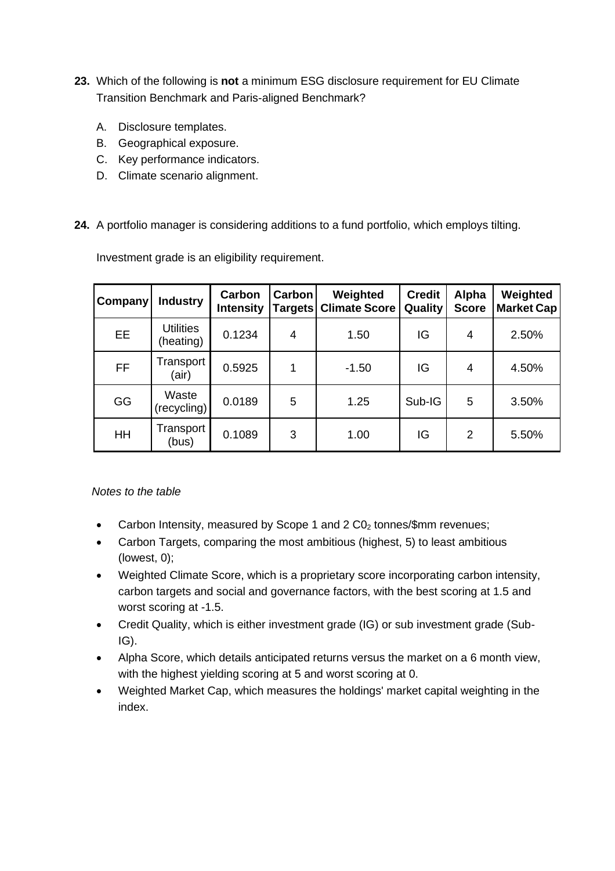- **23.** Which of the following is **not** a minimum ESG disclosure requirement for EU Climate Transition Benchmark and Paris-aligned Benchmark?
	- A. Disclosure templates.
	- B. Geographical exposure.
	- C. Key performance indicators.
	- D. Climate scenario alignment.
- **24.** A portfolio manager is considering additions to a fund portfolio, which employs tilting.

Investment grade is an eligibility requirement.

| Company   | <b>Industry</b>               | Carbon<br><b>Intensity</b> | Carbon<br><b>Targets</b> | Weighted<br><b>Climate Score</b> | <b>Credit</b><br>Quality | Alpha<br><b>Score</b> | Weighted<br><b>Market Cap</b> |
|-----------|-------------------------------|----------------------------|--------------------------|----------------------------------|--------------------------|-----------------------|-------------------------------|
| <b>EE</b> | <b>Utilities</b><br>(heating) | 0.1234                     | 4                        | 1.50                             | IG                       | 4                     | 2.50%                         |
| FF        | Transport<br>(air)            | 0.5925                     | 1                        | $-1.50$                          | IG                       | 4                     | 4.50%                         |
| GG        | Waste<br>(recycling)          | 0.0189                     | 5                        | 1.25                             | Sub-IG                   | 5                     | 3.50%                         |
| HH        | Transport<br>(bus)            | 0.1089                     | 3                        | 1.00                             | IG                       | 2                     | 5.50%                         |

*Notes to the table*

- Carbon Intensity, measured by Scope 1 and 2 C0<sup>2</sup> tonnes/\$mm revenues;
- Carbon Targets, comparing the most ambitious (highest, 5) to least ambitious (lowest, 0);
- Weighted Climate Score, which is a proprietary score incorporating carbon intensity, carbon targets and social and governance factors, with the best scoring at 1.5 and worst scoring at -1.5.
- Credit Quality, which is either investment grade (IG) or sub investment grade (Sub-IG).
- Alpha Score, which details anticipated returns versus the market on a 6 month view, with the highest yielding scoring at 5 and worst scoring at 0.
- Weighted Market Cap, which measures the holdings' market capital weighting in the index.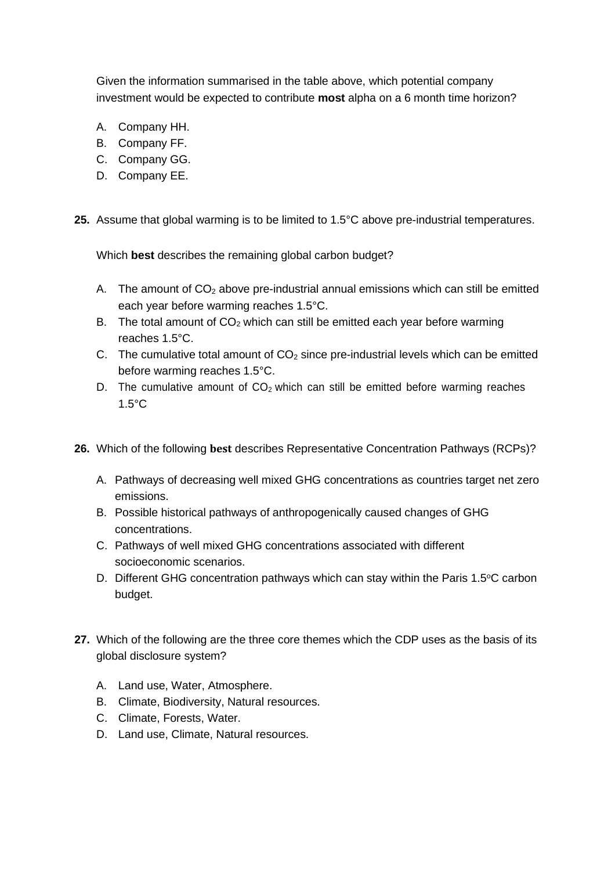Given the information summarised in the table above, which potential company investment would be expected to contribute **most** alpha on a 6 month time horizon?

- A. Company HH.
- B. Company FF.
- C. Company GG.
- D. Company EE.

**25.** Assume that global warming is to be limited to 1.5°C above pre-industrial temperatures.

Which **best** describes the remaining global carbon budget?

- A. The amount of  $CO<sub>2</sub>$  above pre-industrial annual emissions which can still be emitted each year before warming reaches 1.5°C.
- B. The total amount of  $CO<sub>2</sub>$  which can still be emitted each year before warming reaches 1.5°C.
- C. The cumulative total amount of  $CO<sub>2</sub>$  since pre-industrial levels which can be emitted before warming reaches 1.5°C.
- D. The cumulative amount of  $CO<sub>2</sub>$  which can still be emitted before warming reaches 1.5°C
- **26.** Which of the following **best** describes Representative Concentration Pathways (RCPs)?
	- A. Pathways of decreasing well mixed GHG concentrations as countries target net zero emissions.
	- B. Possible historical pathways of anthropogenically caused changes of GHG concentrations.
	- C. Pathways of well mixed GHG concentrations associated with different socioeconomic scenarios.
	- D. Different GHG concentration pathways which can stay within the Paris 1.5°C carbon budget.
- **27.** Which of the following are the three core themes which the CDP uses as the basis of its global disclosure system?
	- A. Land use, Water, Atmosphere.
	- B. Climate, Biodiversity, Natural resources.
	- C. Climate, Forests, Water.
	- D. Land use, Climate, Natural resources.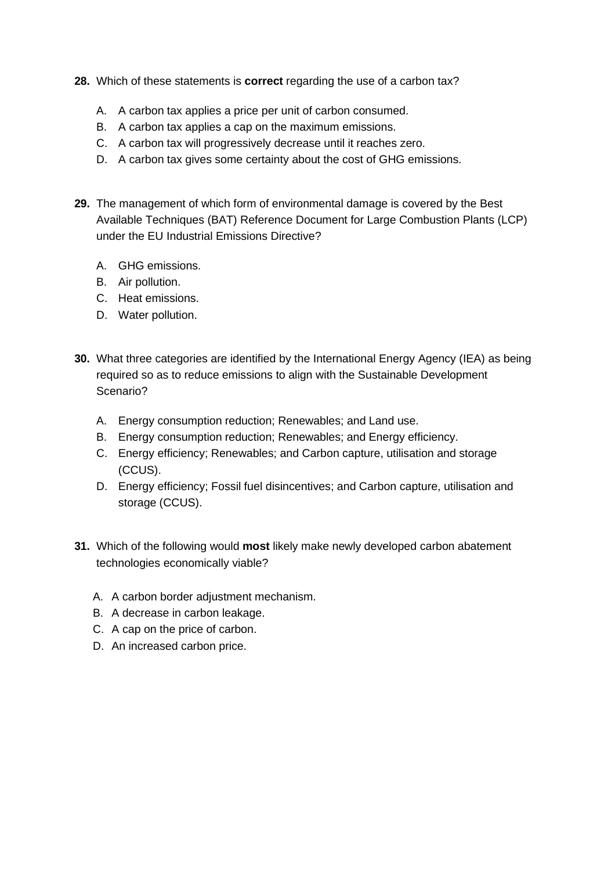- **28.** Which of these statements is **correct** regarding the use of a carbon tax?
	- A. A carbon tax applies a price per unit of carbon consumed.
	- B. A carbon tax applies a cap on the maximum emissions.
	- C. A carbon tax will progressively decrease until it reaches zero.
	- D. A carbon tax gives some certainty about the cost of GHG emissions.
- **29.** The management of which form of environmental damage is covered by the Best Available Techniques (BAT) Reference Document for Large Combustion Plants (LCP) under the EU Industrial Emissions Directive?
	- A. GHG emissions.
	- B. Air pollution.
	- C. Heat emissions.
	- D. Water pollution.
- **30.** What three categories are identified by the International Energy Agency (IEA) as being required so as to reduce emissions to align with the Sustainable Development Scenario?
	- A. Energy consumption reduction; Renewables; and Land use.
	- B. Energy consumption reduction; Renewables; and Energy efficiency.
	- C. Energy efficiency; Renewables; and Carbon capture, utilisation and storage (CCUS).
	- D. Energy efficiency; Fossil fuel disincentives; and Carbon capture, utilisation and storage (CCUS).
- **31.** Which of the following would **most** likely make newly developed carbon abatement technologies economically viable?
	- A. A carbon border adjustment mechanism.
	- B. A decrease in carbon leakage.
	- C. A cap on the price of carbon.
	- D. An increased carbon price.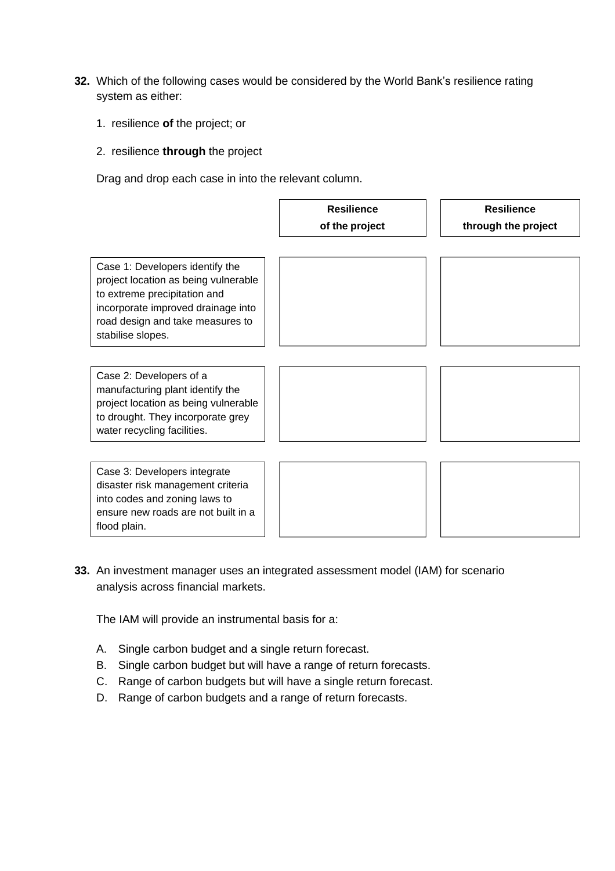- **32.** Which of the following cases would be considered by the World Bank's resilience rating system as either:
	- 1. resilience **of** the project; or
	- 2. resilience **through** the project

Drag and drop each case in into the relevant column.



**33.** An investment manager uses an integrated assessment model (IAM) for scenario analysis across financial markets.

The IAM will provide an instrumental basis for a:

flood plain.

- A. Single carbon budget and a single return forecast.
- B. Single carbon budget but will have a range of return forecasts.
- C. Range of carbon budgets but will have a single return forecast.
- D. Range of carbon budgets and a range of return forecasts.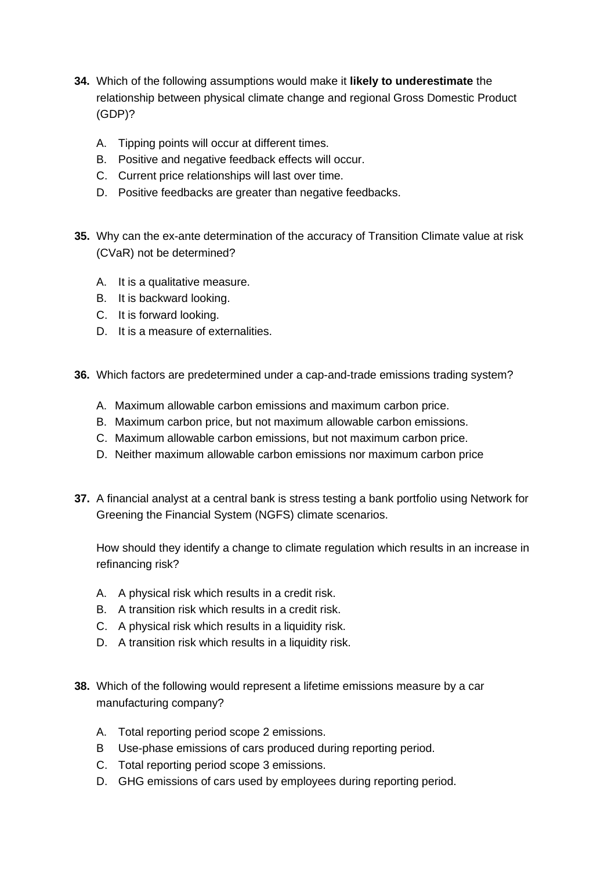- **34.** Which of the following assumptions would make it **likely to underestimate** the relationship between physical climate change and regional Gross Domestic Product (GDP)?
	- A. Tipping points will occur at different times.
	- B. Positive and negative feedback effects will occur.
	- C. Current price relationships will last over time.
	- D. Positive feedbacks are greater than negative feedbacks.
- **35.** Why can the ex-ante determination of the accuracy of Transition Climate value at risk (CVaR) not be determined?
	- A. It is a qualitative measure.
	- B. It is backward looking.
	- C. It is forward looking.
	- D. It is a measure of externalities.
- **36.** Which factors are predetermined under a cap-and-trade emissions trading system?
	- A. Maximum allowable carbon emissions and maximum carbon price.
	- B. Maximum carbon price, but not maximum allowable carbon emissions.
	- C. Maximum allowable carbon emissions, but not maximum carbon price.
	- D. Neither maximum allowable carbon emissions nor maximum carbon price
- **37.** A financial analyst at a central bank is stress testing a bank portfolio using Network for Greening the Financial System (NGFS) climate scenarios.

How should they identify a change to climate regulation which results in an increase in refinancing risk?

- A. A physical risk which results in a credit risk.
- B. A transition risk which results in a credit risk.
- C. A physical risk which results in a liquidity risk.
- D. A transition risk which results in a liquidity risk.
- **38.** Which of the following would represent a lifetime emissions measure by a car manufacturing company?
	- A. Total reporting period scope 2 emissions.
	- B Use-phase emissions of cars produced during reporting period.
	- C. Total reporting period scope 3 emissions.
	- D. GHG emissions of cars used by employees during reporting period.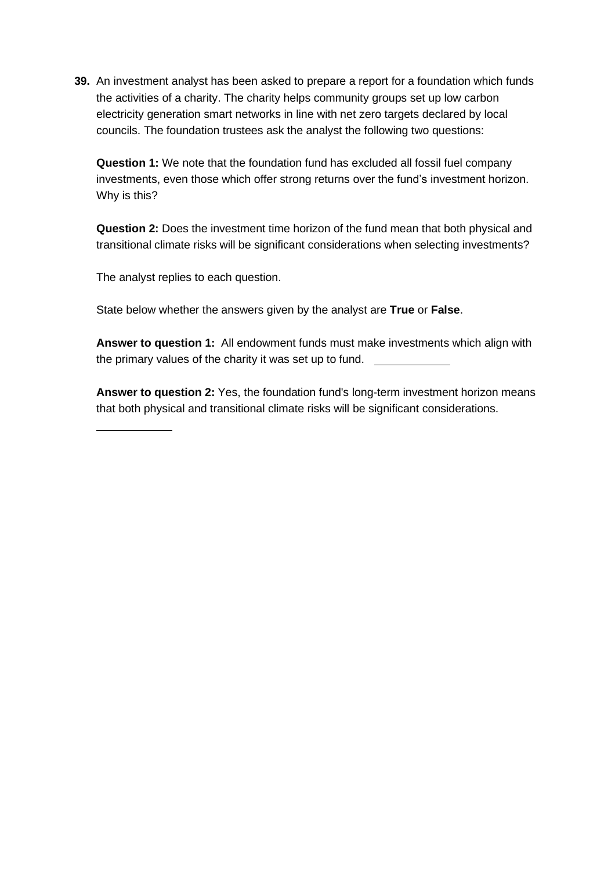**39.** An investment analyst has been asked to prepare a report for a foundation which funds the activities of a charity. The charity helps community groups set up low carbon electricity generation smart networks in line with net zero targets declared by local councils. The foundation trustees ask the analyst the following two questions:

**Question 1:** We note that the foundation fund has excluded all fossil fuel company investments, even those which offer strong returns over the fund's investment horizon. Why is this?

**Question 2:** Does the investment time horizon of the fund mean that both physical and transitional climate risks will be significant considerations when selecting investments?

The analyst replies to each question.

State below whether the answers given by the analyst are **True** or **False**.

**Answer to question 1:** All endowment funds must make investments which align with the primary values of the charity it was set up to fund.

**Answer to question 2:** Yes, the foundation fund's long-term investment horizon means that both physical and transitional climate risks will be significant considerations.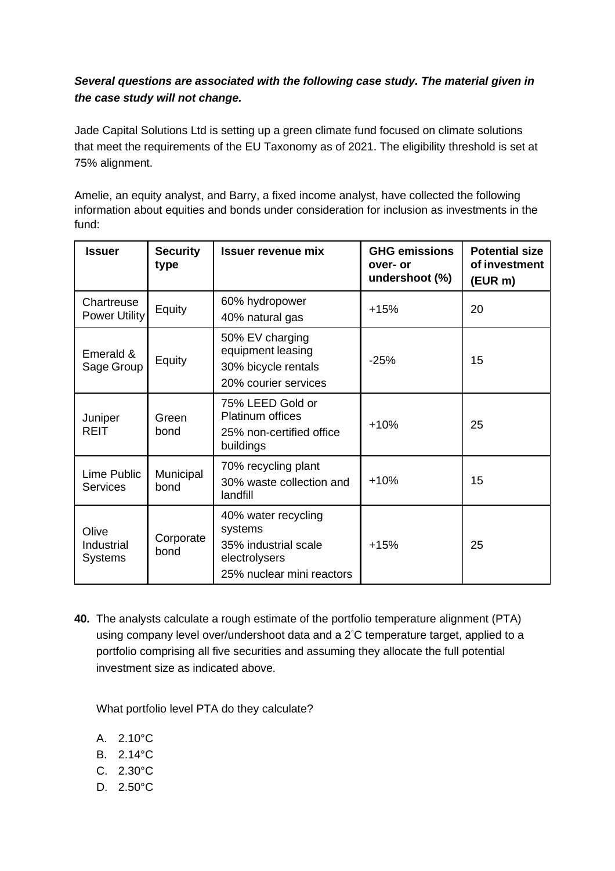# *Several questions are associated with the following case study. The material given in the case study will not change.*

Jade Capital Solutions Ltd is setting up a green climate fund focused on climate solutions that meet the requirements of the EU Taxonomy as of 2021. The eligibility threshold is set at 75% alignment.

Amelie, an equity analyst, and Barry, a fixed income analyst, have collected the following information about equities and bonds under consideration for inclusion as investments in the fund:

| <b>Issuer</b>                      | <b>Security</b><br>type | <b>Issuer revenue mix</b>                                                                            | <b>GHG emissions</b><br>over- or<br>undershoot (%) | <b>Potential size</b><br>of investment<br>(EUR m) |
|------------------------------------|-------------------------|------------------------------------------------------------------------------------------------------|----------------------------------------------------|---------------------------------------------------|
| Chartreuse<br><b>Power Utility</b> | Equity                  | 60% hydropower<br>40% natural gas                                                                    | $+15%$                                             | 20                                                |
| Emerald &<br>Sage Group            | Equity                  | 50% EV charging<br>equipment leasing<br>30% bicycle rentals<br>20% courier services                  | $-25%$                                             | 15                                                |
| Juniper<br><b>REIT</b>             | Green<br>bond           | 75% LEED Gold or<br><b>Platinum offices</b><br>25% non-certified office<br>buildings                 | $+10%$                                             | 25                                                |
| Lime Public<br><b>Services</b>     | Municipal<br>bond       | 70% recycling plant<br>30% waste collection and<br>landfill                                          | $+10%$                                             | 15                                                |
| Olive<br>Industrial<br>Systems     | Corporate<br>bond       | 40% water recycling<br>systems<br>35% industrial scale<br>electrolysers<br>25% nuclear mini reactors | $+15%$                                             | 25                                                |

**40.** The analysts calculate a rough estimate of the portfolio temperature alignment (PTA) using company level over/undershoot data and a 2°C temperature target, applied to a portfolio comprising all five securities and assuming they allocate the full potential investment size as indicated above.

What portfolio level PTA do they calculate?

- A. 2.10°C
- B. 2.14°C
- C. 2.30°C
- D. 2.50°C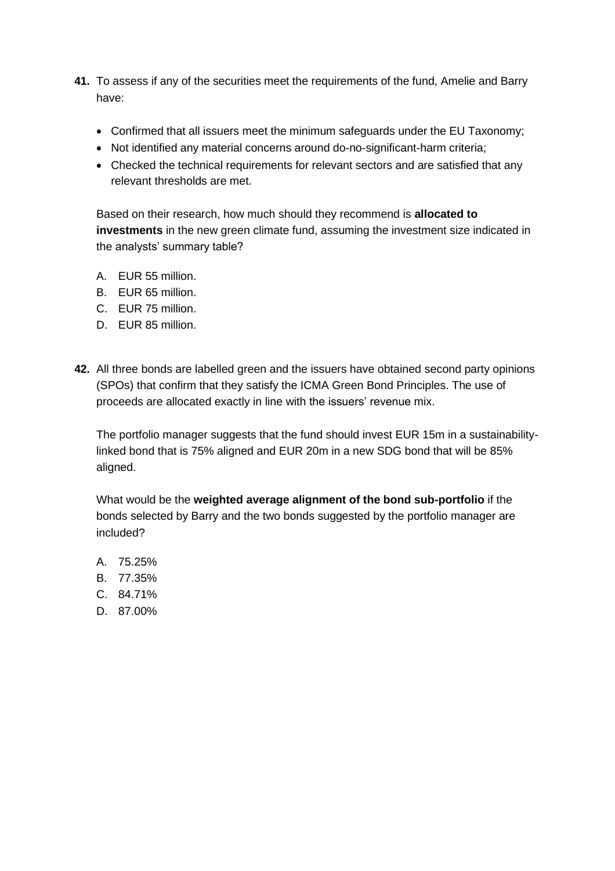- **41.** To assess if any of the securities meet the requirements of the fund, Amelie and Barry have:
	- Confirmed that all issuers meet the minimum safeguards under the EU Taxonomy;
	- Not identified any material concerns around do-no-significant-harm criteria;
	- Checked the technical requirements for relevant sectors and are satisfied that any relevant thresholds are met.

Based on their research, how much should they recommend is **allocated to investments** in the new green climate fund, assuming the investment size indicated in the analysts' summary table?

- A. EUR 55 million.
- B. EUR 65 million.
- C. EUR 75 million.
- D. EUR 85 million.
- **42.** All three bonds are labelled green and the issuers have obtained second party opinions (SPOs) that confirm that they satisfy the ICMA Green Bond Principles. The use of proceeds are allocated exactly in line with the issuers' revenue mix.

The portfolio manager suggests that the fund should invest EUR 15m in a sustainabilitylinked bond that is 75% aligned and EUR 20m in a new SDG bond that will be 85% aligned.

What would be the **weighted average alignment of the bond sub-portfolio** if the bonds selected by Barry and the two bonds suggested by the portfolio manager are included?

- A. 75.25%
- B. 77.35%
- C. 84.71%
- D. 87.00%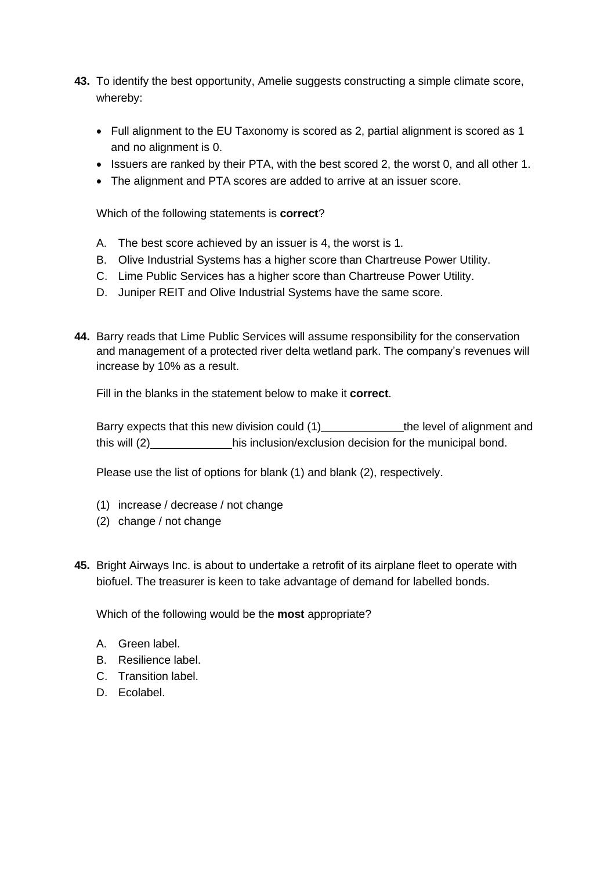- **43.** To identify the best opportunity, Amelie suggests constructing a simple climate score, whereby:
	- Full alignment to the EU Taxonomy is scored as 2, partial alignment is scored as 1 and no alignment is 0.
	- Issuers are ranked by their PTA, with the best scored 2, the worst 0, and all other 1.
	- The alignment and PTA scores are added to arrive at an issuer score.

Which of the following statements is **correct**?

- A. The best score achieved by an issuer is 4, the worst is 1.
- B. Olive Industrial Systems has a higher score than Chartreuse Power Utility.
- C. Lime Public Services has a higher score than Chartreuse Power Utility.
- D. Juniper REIT and Olive Industrial Systems have the same score.
- **44.** Barry reads that Lime Public Services will assume responsibility for the conservation and management of a protected river delta wetland park. The company's revenues will increase by 10% as a result.

Fill in the blanks in the statement below to make it **correct**.

Barry expects that this new division could (1) the level of alignment and this will (2) his inclusion/exclusion decision for the municipal bond.

Please use the list of options for blank (1) and blank (2), respectively.

- (1) increase / decrease / not change
- (2) change / not change
- **45.** Bright Airways Inc. is about to undertake a retrofit of its airplane fleet to operate with biofuel. The treasurer is keen to take advantage of demand for labelled bonds.

Which of the following would be the **most** appropriate?

- A. Green label.
- B. Resilience label.
- C. Transition label.
- D. Ecolabel.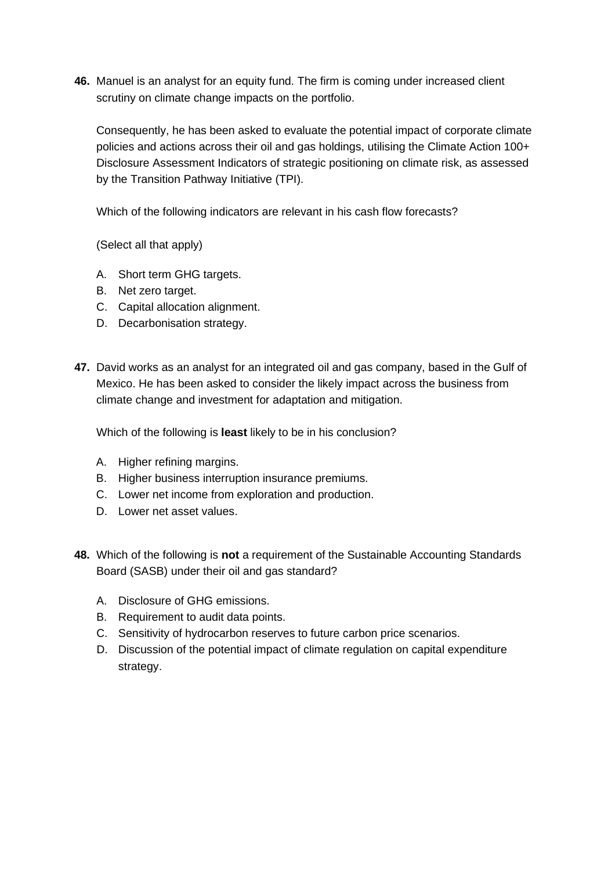**46.** Manuel is an analyst for an equity fund. The firm is coming under increased client scrutiny on climate change impacts on the portfolio.

Consequently, he has been asked to evaluate the potential impact of corporate climate policies and actions across their oil and gas holdings, utilising the Climate Action 100+ Disclosure Assessment Indicators of strategic positioning on climate risk, as assessed by the Transition Pathway Initiative (TPI).

Which of the following indicators are relevant in his cash flow forecasts?

(Select all that apply)

- A. Short term GHG targets.
- B. Net zero target.
- C. Capital allocation alignment.
- D. Decarbonisation strategy.
- **47.** David works as an analyst for an integrated oil and gas company, based in the Gulf of Mexico. He has been asked to consider the likely impact across the business from climate change and investment for adaptation and mitigation.

Which of the following is **least** likely to be in his conclusion?

- A. Higher refining margins.
- B. Higher business interruption insurance premiums.
- C. Lower net income from exploration and production.
- D. Lower net asset values.
- **48.** Which of the following is **not** a requirement of the Sustainable Accounting Standards Board (SASB) under their oil and gas standard?
	- A. Disclosure of GHG emissions.
	- B. Requirement to audit data points.
	- C. Sensitivity of hydrocarbon reserves to future carbon price scenarios.
	- D. Discussion of the potential impact of climate regulation on capital expenditure strategy.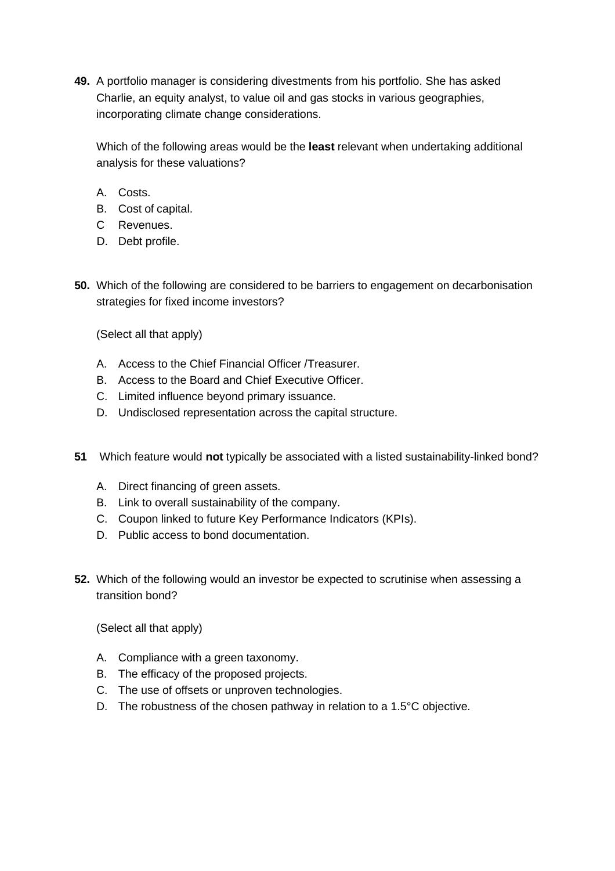**49.** A portfolio manager is considering divestments from his portfolio. She has asked Charlie, an equity analyst, to value oil and gas stocks in various geographies, incorporating climate change considerations.

Which of the following areas would be the **least** relevant when undertaking additional analysis for these valuations?

- A. Costs.
- B. Cost of capital.
- C Revenues.
- D. Debt profile.
- **50.** Which of the following are considered to be barriers to engagement on decarbonisation strategies for fixed income investors?

(Select all that apply)

- A. Access to the Chief Financial Officer /Treasurer.
- B. Access to the Board and Chief Executive Officer.
- C. Limited influence beyond primary issuance.
- D. Undisclosed representation across the capital structure.
- **51** Which feature would **not** typically be associated with a listed sustainability-linked bond?
	- A. Direct financing of green assets.
	- B. Link to overall sustainability of the company.
	- C. Coupon linked to future Key Performance Indicators (KPIs).
	- D. Public access to bond documentation.
- **52.** Which of the following would an investor be expected to scrutinise when assessing a transition bond?

- A. Compliance with a green taxonomy.
- B. The efficacy of the proposed projects.
- C. The use of offsets or unproven technologies.
- D. The robustness of the chosen pathway in relation to a 1.5°C objective.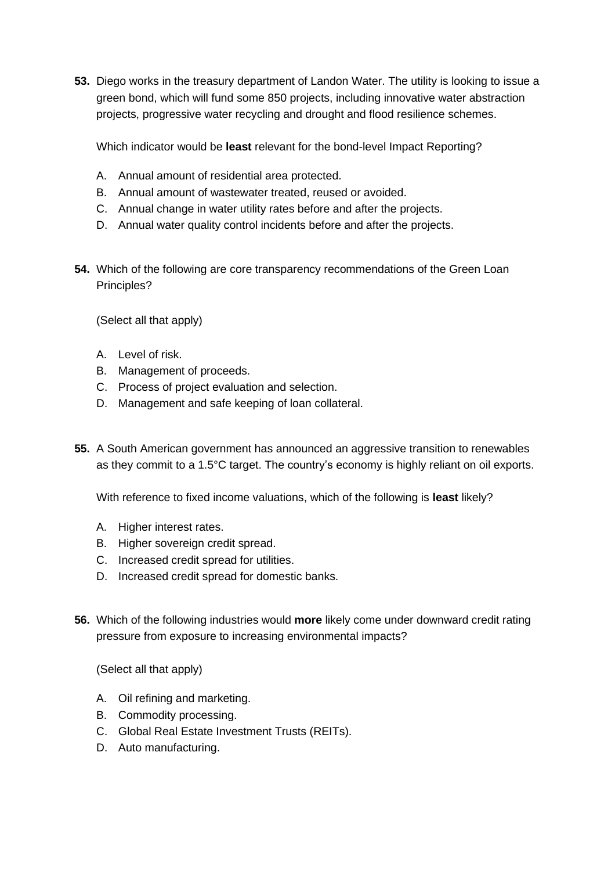**53.** Diego works in the treasury department of Landon Water. The utility is looking to issue a green bond, which will fund some 850 projects, including innovative water abstraction projects, progressive water recycling and drought and flood resilience schemes.

Which indicator would be **least** relevant for the bond-level Impact Reporting?

- A. Annual amount of residential area protected.
- B. Annual amount of wastewater treated, reused or avoided.
- C. Annual change in water utility rates before and after the projects.
- D. Annual water quality control incidents before and after the projects.
- **54.** Which of the following are core transparency recommendations of the Green Loan Principles?

(Select all that apply)

- A. Level of risk.
- B. Management of proceeds.
- C. Process of project evaluation and selection.
- D. Management and safe keeping of loan collateral.
- **55.** A South American government has announced an aggressive transition to renewables as they commit to a 1.5°C target. The country's economy is highly reliant on oil exports.

With reference to fixed income valuations, which of the following is **least** likely?

- A. Higher interest rates.
- B. Higher sovereign credit spread.
- C. Increased credit spread for utilities.
- D. Increased credit spread for domestic banks.
- **56.** Which of the following industries would **more** likely come under downward credit rating pressure from exposure to increasing environmental impacts?

- A. Oil refining and marketing.
- B. Commodity processing.
- C. Global Real Estate Investment Trusts (REITs).
- D. Auto manufacturing.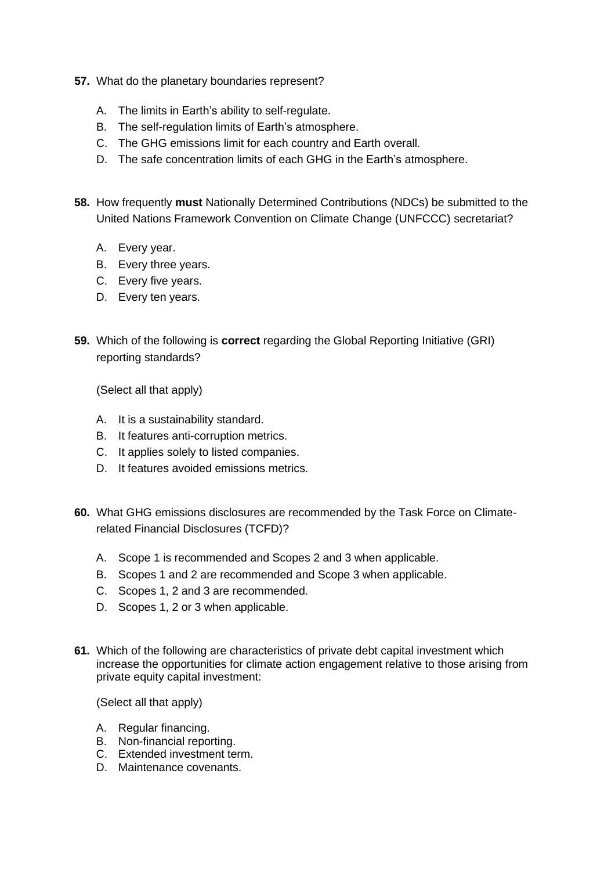- **57.** What do the planetary boundaries represent?
	- A. The limits in Earth's ability to self-regulate.
	- B. The self-regulation limits of Earth's atmosphere.
	- C. The GHG emissions limit for each country and Earth overall.
	- D. The safe concentration limits of each GHG in the Earth's atmosphere.
- **58.** How frequently **must** Nationally Determined Contributions (NDCs) be submitted to the United Nations Framework Convention on Climate Change (UNFCCC) secretariat?
	- A. Every year.
	- B. Every three years.
	- C. Every five years.
	- D. Every ten years.
- **59.** Which of the following is **correct** regarding the Global Reporting Initiative (GRI) reporting standards?

(Select all that apply)

- A. It is a sustainability standard.
- B. It features anti-corruption metrics.
- C. It applies solely to listed companies.
- D. It features avoided emissions metrics.
- **60.** What GHG emissions disclosures are recommended by the Task Force on Climaterelated Financial Disclosures (TCFD)?
	- A. Scope 1 is recommended and Scopes 2 and 3 when applicable.
	- B. Scopes 1 and 2 are recommended and Scope 3 when applicable.
	- C. Scopes 1, 2 and 3 are recommended.
	- D. Scopes 1, 2 or 3 when applicable.
- **61.** Which of the following are characteristics of private debt capital investment which increase the opportunities for climate action engagement relative to those arising from private equity capital investment:

- A. Regular financing.
- B. Non-financial reporting.
- C. Extended investment term.
- D. Maintenance covenants.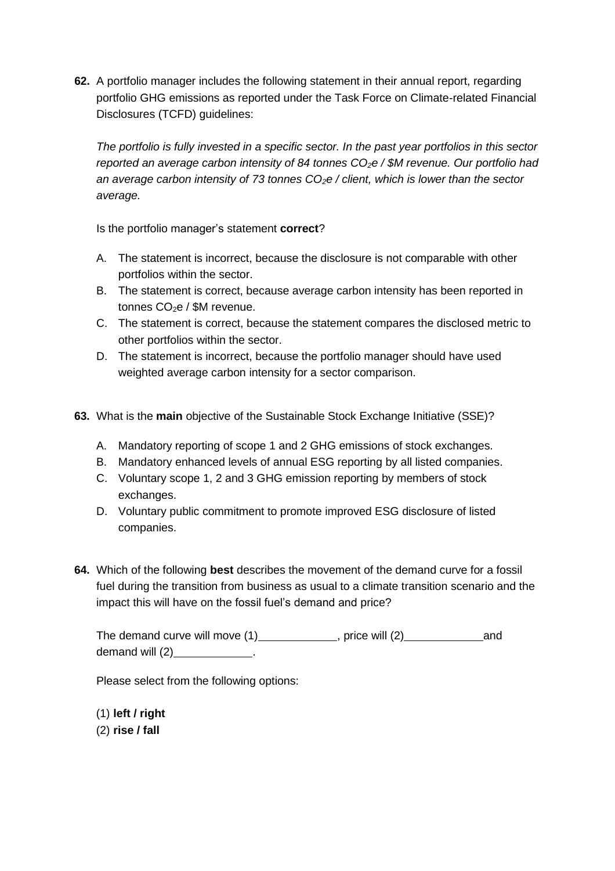**62.** A portfolio manager includes the following statement in their annual report, regarding portfolio GHG emissions as reported under the Task Force on Climate-related Financial Disclosures (TCFD) guidelines:

*The portfolio is fully invested in a specific sector. In the past year portfolios in this sector reported an average carbon intensity of 84 tonnes CO2e / \$M revenue. Our portfolio had an average carbon intensity of 73 tonnes CO2e / client, which is lower than the sector average.*

Is the portfolio manager's statement **correct**?

- A. The statement is incorrect, because the disclosure is not comparable with other portfolios within the sector.
- B. The statement is correct, because average carbon intensity has been reported in tonnes  $CO<sub>2</sub>e / SM$  revenue.
- C. The statement is correct, because the statement compares the disclosed metric to other portfolios within the sector.
- D. The statement is incorrect, because the portfolio manager should have used weighted average carbon intensity for a sector comparison.
- **63.** What is the **main** objective of the Sustainable Stock Exchange Initiative (SSE)?
	- A. Mandatory reporting of scope 1 and 2 GHG emissions of stock exchanges.
	- B. Mandatory enhanced levels of annual ESG reporting by all listed companies.
	- C. Voluntary scope 1, 2 and 3 GHG emission reporting by members of stock exchanges.
	- D. Voluntary public commitment to promote improved ESG disclosure of listed companies.
- **64.** Which of the following **best** describes the movement of the demand curve for a fossil fuel during the transition from business as usual to a climate transition scenario and the impact this will have on the fossil fuel's demand and price?

The demand curve will move  $(1)$  , price will  $(2)$  and demand will (2) and the control of the control of the control of the control of the control of the control of the control of the control of the control of the control of the control of the control of the control of the con

Please select from the following options:

(1) **left / right**

(2) **rise / fall**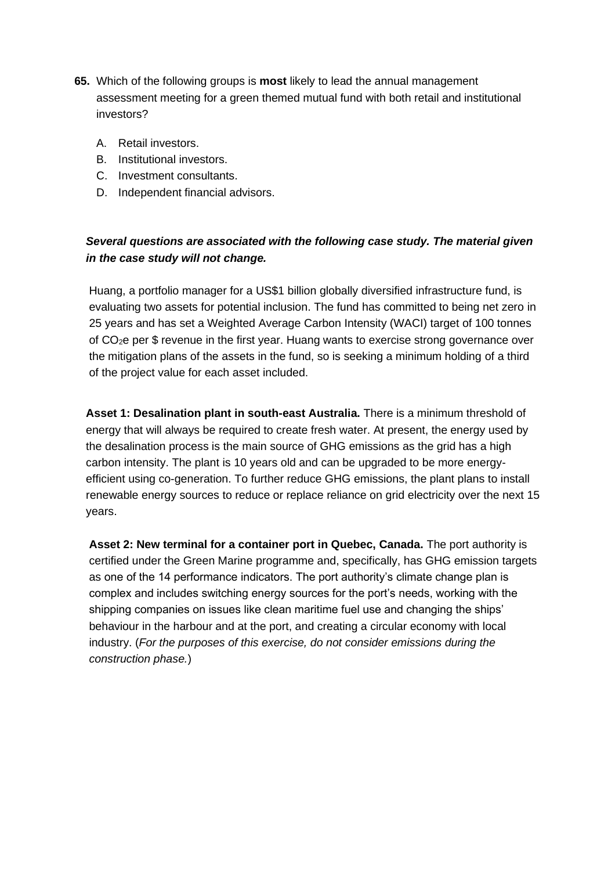- **65.** Which of the following groups is **most** likely to lead the annual management assessment meeting for a green themed mutual fund with both retail and institutional investors?
	- A. Retail investors.
	- B. Institutional investors.
	- C. Investment consultants.
	- D. Independent financial advisors.

# *Several questions are associated with the following case study. The material given in the case study will not change.*

Huang, a portfolio manager for a US\$1 billion globally diversified infrastructure fund, is evaluating two assets for potential inclusion. The fund has committed to being net zero in 25 years and has set a Weighted Average Carbon Intensity (WACI) target of 100 tonnes of CO2e per \$ revenue in the first year. Huang wants to exercise strong governance over the mitigation plans of the assets in the fund, so is seeking a minimum holding of a third of the project value for each asset included.

**Asset 1: Desalination plant in south-east Australia.** There is a minimum threshold of energy that will always be required to create fresh water. At present, the energy used by the desalination process is the main source of GHG emissions as the grid has a high carbon intensity. The plant is 10 years old and can be upgraded to be more energyefficient using co-generation. To further reduce GHG emissions, the plant plans to install renewable energy sources to reduce or replace reliance on grid electricity over the next 15 years.

**Asset 2: New terminal for a container port in Quebec, Canada.** The port authority is certified under the Green Marine programme and, specifically, has GHG emission targets as one of the 14 performance indicators. The port authority's climate change plan is complex and includes switching energy sources for the port's needs, working with the shipping companies on issues like clean maritime fuel use and changing the ships' behaviour in the harbour and at the port, and creating a circular economy with local industry. (*For the purposes of this exercise, do not consider emissions during the construction phase.*)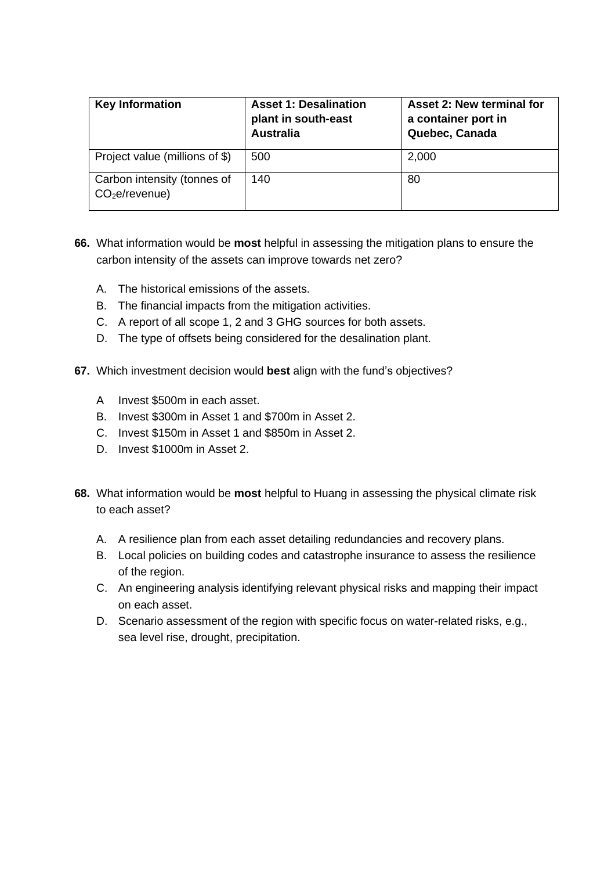| <b>Key Information</b>                                    | <b>Asset 1: Desalination</b><br>plant in south-east<br><b>Australia</b> | Asset 2: New terminal for<br>a container port in<br>Quebec, Canada |
|-----------------------------------------------------------|-------------------------------------------------------------------------|--------------------------------------------------------------------|
| Project value (millions of \$)                            | 500                                                                     | 2,000                                                              |
| Carbon intensity (tonnes of<br>CO <sub>2</sub> e/revenue) | 140                                                                     | 80                                                                 |

- **66.** What information would be **most** helpful in assessing the mitigation plans to ensure the carbon intensity of the assets can improve towards net zero?
	- A. The historical emissions of the assets.
	- B. The financial impacts from the mitigation activities.
	- C. A report of all scope 1, 2 and 3 GHG sources for both assets.
	- D. The type of offsets being considered for the desalination plant.
- **67.** Which investment decision would **best** align with the fund's objectives?
	- A Invest \$500m in each asset.
	- B. Invest \$300m in Asset 1 and \$700m in Asset 2.
	- C. Invest \$150m in Asset 1 and \$850m in Asset 2.
	- D. Invest \$1000m in Asset 2.
- **68.** What information would be **most** helpful to Huang in assessing the physical climate risk to each asset?
	- A. A resilience plan from each asset detailing redundancies and recovery plans.
	- B. Local policies on building codes and catastrophe insurance to assess the resilience of the region.
	- C. An engineering analysis identifying relevant physical risks and mapping their impact on each asset.
	- D. Scenario assessment of the region with specific focus on water-related risks, e.g., sea level rise, drought, precipitation.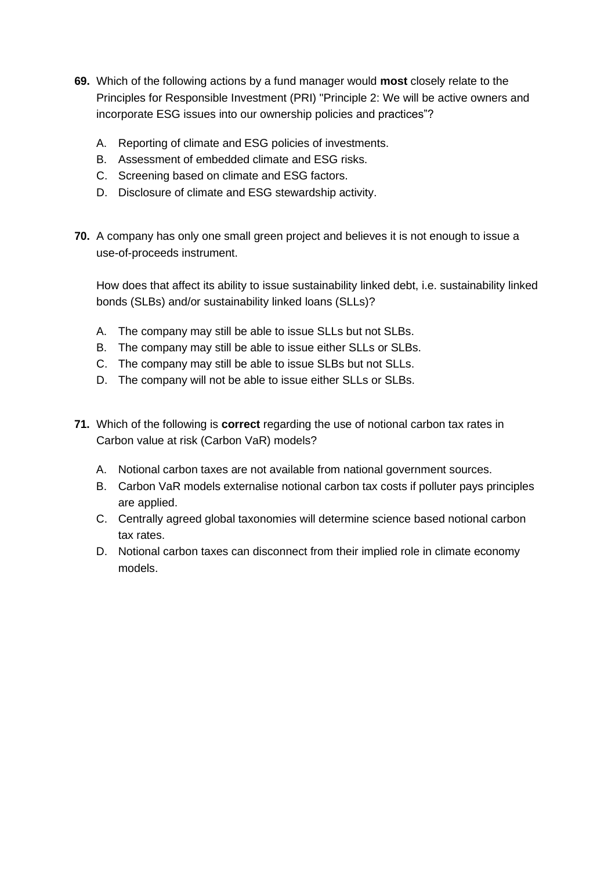- **69.** Which of the following actions by a fund manager would **most** closely relate to the Principles for Responsible Investment (PRI) "Principle 2: We will be active owners and incorporate ESG issues into our ownership policies and practices"?
	- A. Reporting of climate and ESG policies of investments.
	- B. Assessment of embedded climate and ESG risks.
	- C. Screening based on climate and ESG factors.
	- D. Disclosure of climate and ESG stewardship activity.
- **70.** A company has only one small green project and believes it is not enough to issue a use-of-proceeds instrument.

How does that affect its ability to issue sustainability linked debt, i.e. sustainability linked bonds (SLBs) and/or sustainability linked loans (SLLs)?

- A. The company may still be able to issue SLLs but not SLBs.
- B. The company may still be able to issue either SLLs or SLBs.
- C. The company may still be able to issue SLBs but not SLLs.
- D. The company will not be able to issue either SLLs or SLBs.
- **71.** Which of the following is **correct** regarding the use of notional carbon tax rates in Carbon value at risk (Carbon VaR) models?
	- A. Notional carbon taxes are not available from national government sources.
	- B. Carbon VaR models externalise notional carbon tax costs if polluter pays principles are applied.
	- C. Centrally agreed global taxonomies will determine science based notional carbon tax rates.
	- D. Notional carbon taxes can disconnect from their implied role in climate economy models.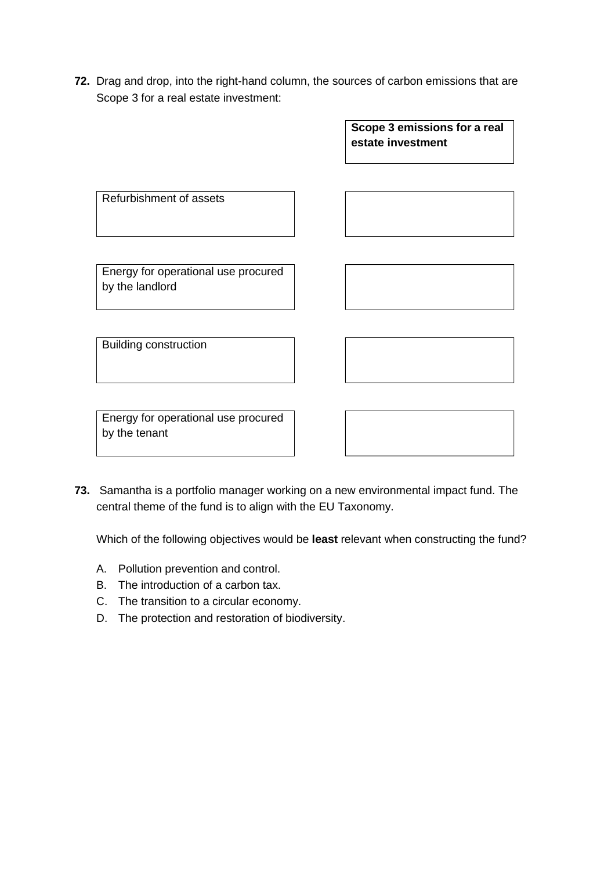**72.** Drag and drop, into the right-hand column, the sources of carbon emissions that are Scope 3 for a real estate investment:

> **Scope 3 emissions for a real estate investment**

Refurbishment of assets

Energy for operational use procured by the landlord

Building construction

Energy for operational use procured by the tenant

**73.** Samantha is a portfolio manager working on a new environmental impact fund. The central theme of the fund is to align with the EU Taxonomy.

Which of the following objectives would be **least** relevant when constructing the fund?

- A. Pollution prevention and control.
- B. The introduction of a carbon tax.
- C. The transition to a circular economy.
- D. The protection and restoration of biodiversity.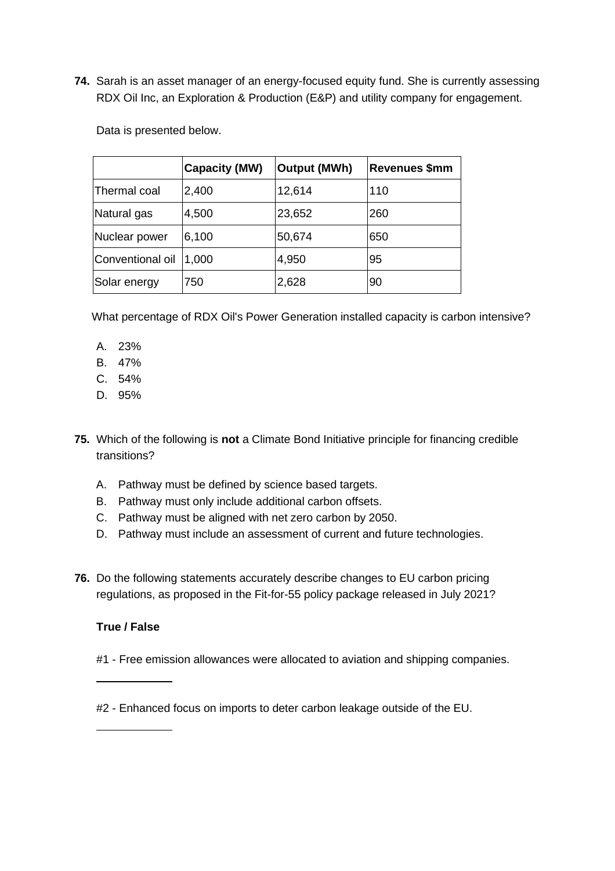**74.** Sarah is an asset manager of an energy-focused equity fund. She is currently assessing RDX Oil Inc, an Exploration & Production (E&P) and utility company for engagement.

Data is presented below.

|                  | <b>Capacity (MW)</b> | Output (MWh) | <b>Revenues \$mm</b> |
|------------------|----------------------|--------------|----------------------|
| Thermal coal     | 2,400                | 12,614       | 110                  |
| Natural gas      | 4,500                | 23,652       | 260                  |
| Nuclear power    | 6,100                | 50,674       | 650                  |
| Conventional oil | 1,000                | 4,950        | 95                   |
| Solar energy     | 750                  | 2,628        | 90                   |

What percentage of RDX Oil's Power Generation installed capacity is carbon intensive?

- A. 23%
- B. 47%
- C. 54%
- D. 95%
- **75.** Which of the following is **not** a Climate Bond Initiative principle for financing credible transitions?
	- A. Pathway must be defined by science based targets.
	- B. Pathway must only include additional carbon offsets.
	- C. Pathway must be aligned with net zero carbon by 2050.
	- D. Pathway must include an assessment of current and future technologies.
- **76.** Do the following statements accurately describe changes to EU carbon pricing regulations, as proposed in the Fit-for-55 policy package released in July 2021?

# **True / False**

- #1 Free emission allowances were allocated to aviation and shipping companies.
- #2 Enhanced focus on imports to deter carbon leakage outside of the EU.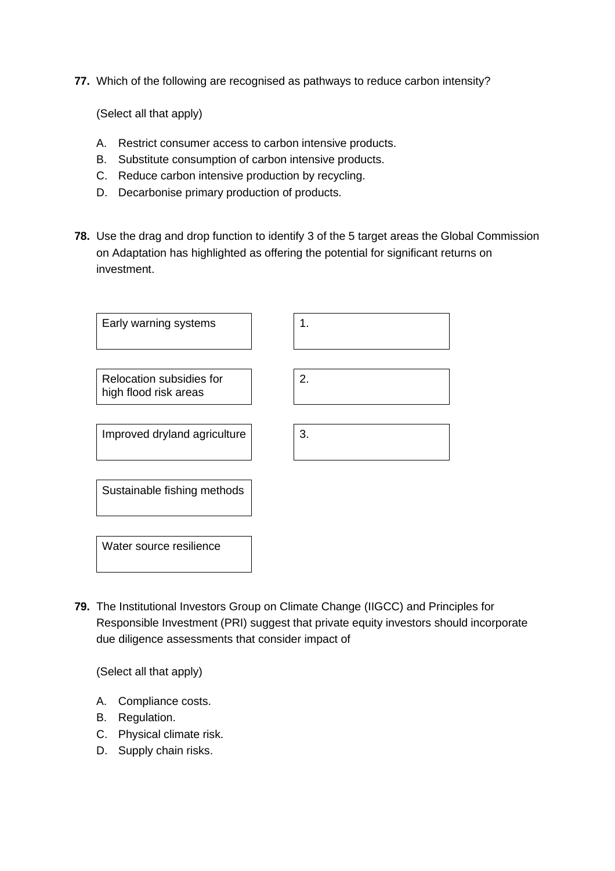**77.** Which of the following are recognised as pathways to reduce carbon intensity?

(Select all that apply)

- A. Restrict consumer access to carbon intensive products.
- B. Substitute consumption of carbon intensive products.
- C. Reduce carbon intensive production by recycling.
- D. Decarbonise primary production of products.
- **78.** Use the drag and drop function to identify 3 of the 5 target areas the Global Commission on Adaptation has highlighted as offering the potential for significant returns on investment.



**79.** The Institutional Investors Group on Climate Change (IIGCC) and Principles for Responsible Investment (PRI) suggest that private equity investors should incorporate due diligence assessments that consider impact of

- A. Compliance costs.
- B. Regulation.
- C. Physical climate risk.
- D. Supply chain risks.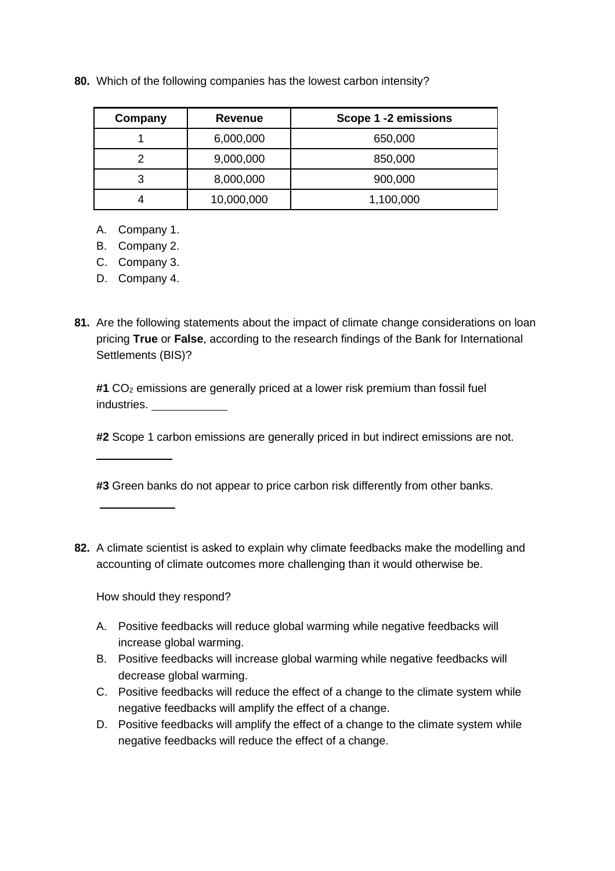**80.** Which of the following companies has the lowest carbon intensity?

| Company | <b>Revenue</b> | Scope 1 -2 emissions |
|---------|----------------|----------------------|
|         | 6,000,000      | 650,000              |
|         | 9,000,000      | 850,000              |
| 3       | 8,000,000      | 900,000              |
| 4       | 10,000,000     | 1,100,000            |

- A. Company 1.
- B. Company 2.
- C. Company 3.
- D. Company 4.
- **81.** Are the following statements about the impact of climate change considerations on loan pricing **True** or **False**, according to the research findings of the Bank for International Settlements (BIS)?

#1 CO<sub>2</sub> emissions are generally priced at a lower risk premium than fossil fuel industries.

**#2** Scope 1 carbon emissions are generally priced in but indirect emissions are not.

**#3** Green banks do not appear to price carbon risk differently from other banks.

**82.** A climate scientist is asked to explain why climate feedbacks make the modelling and accounting of climate outcomes more challenging than it would otherwise be.

How should they respond?

- A. Positive feedbacks will reduce global warming while negative feedbacks will increase global warming.
- B. Positive feedbacks will increase global warming while negative feedbacks will decrease global warming.
- C. Positive feedbacks will reduce the effect of a change to the climate system while negative feedbacks will amplify the effect of a change.
- D. Positive feedbacks will amplify the effect of a change to the climate system while negative feedbacks will reduce the effect of a change.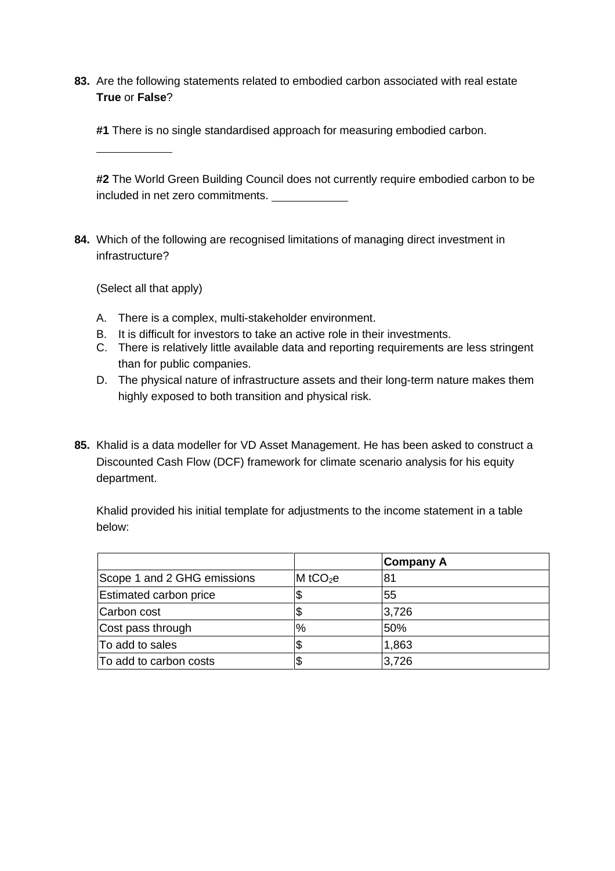**83.** Are the following statements related to embodied carbon associated with real estate **True** or **False**?

**#1** There is no single standardised approach for measuring embodied carbon.

**#2** The World Green Building Council does not currently require embodied carbon to be included in net zero commitments.

**84.** Which of the following are recognised limitations of managing direct investment in infrastructure?

(Select all that apply)

- A. There is a complex, multi-stakeholder environment.
- B. It is difficult for investors to take an active role in their investments.
- C. There is relatively little available data and reporting requirements are less stringent than for public companies.
- D. The physical nature of infrastructure assets and their long-term nature makes them highly exposed to both transition and physical risk.
- **85.** Khalid is a data modeller for VD Asset Management. He has been asked to construct a Discounted Cash Flow (DCF) framework for climate scenario analysis for his equity department.

Khalid provided his initial template for adjustments to the income statement in a table below:

|                               |                        | Company A |
|-------------------------------|------------------------|-----------|
| Scope 1 and 2 GHG emissions   | $M$ tCO <sub>2</sub> e | 81        |
| <b>Estimated carbon price</b> |                        | 55        |
| Carbon cost                   |                        | 3,726     |
| Cost pass through             | %                      | 50%       |
| To add to sales               |                        | 1,863     |
| To add to carbon costs        |                        | 3,726     |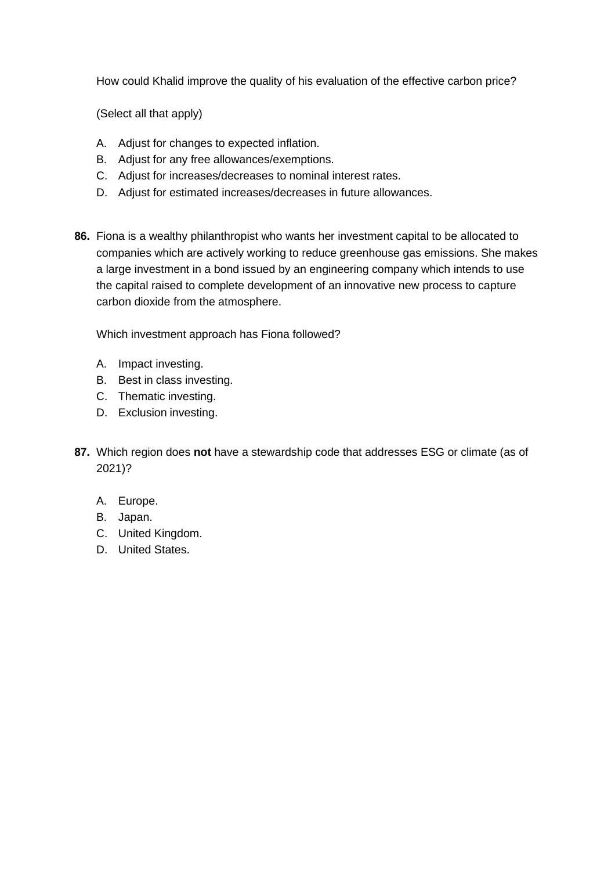How could Khalid improve the quality of his evaluation of the effective carbon price?

(Select all that apply)

- A. Adjust for changes to expected inflation.
- B. Adjust for any free allowances/exemptions.
- C. Adjust for increases/decreases to nominal interest rates.
- D. Adjust for estimated increases/decreases in future allowances.
- **86.** Fiona is a wealthy philanthropist who wants her investment capital to be allocated to companies which are actively working to reduce greenhouse gas emissions. She makes a large investment in a bond issued by an engineering company which intends to use the capital raised to complete development of an innovative new process to capture carbon dioxide from the atmosphere.

Which investment approach has Fiona followed?

- A. Impact investing.
- B. Best in class investing.
- C. Thematic investing.
- D. Exclusion investing.
- **87.** Which region does **not** have a stewardship code that addresses ESG or climate (as of 2021)?
	- A. Europe.
	- B. Japan.
	- C. United Kingdom.
	- D. United States.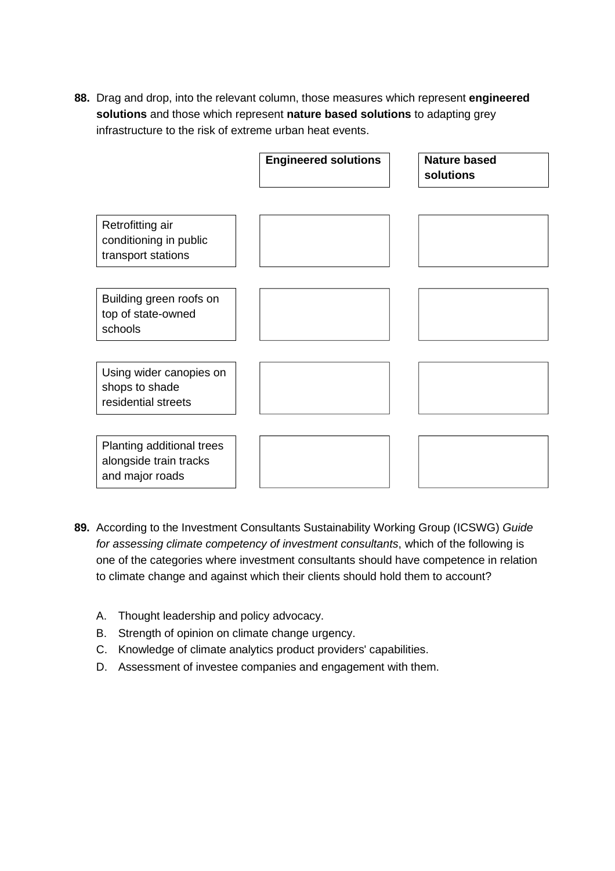**88.** Drag and drop, into the relevant column, those measures which represent **engineered solutions** and those which represent **nature based solutions** to adapting grey infrastructure to the risk of extreme urban heat events.

|                                                                        | <b>Engineered solutions</b> | <b>Nature based</b><br>solutions |
|------------------------------------------------------------------------|-----------------------------|----------------------------------|
| Retrofitting air<br>conditioning in public<br>transport stations       |                             |                                  |
| Building green roofs on<br>top of state-owned<br>schools               |                             |                                  |
| Using wider canopies on<br>shops to shade<br>residential streets       |                             |                                  |
| Planting additional trees<br>alongside train tracks<br>and major roads |                             |                                  |

- **89.** According to the Investment Consultants Sustainability Working Group (ICSWG) *Guide for assessing climate competency of investment consultants*, which of the following is one of the categories where investment consultants should have competence in relation to climate change and against which their clients should hold them to account?
	- A. Thought leadership and policy advocacy.
	- B. Strength of opinion on climate change urgency.
	- C. Knowledge of climate analytics product providers' capabilities.
	- D. Assessment of investee companies and engagement with them.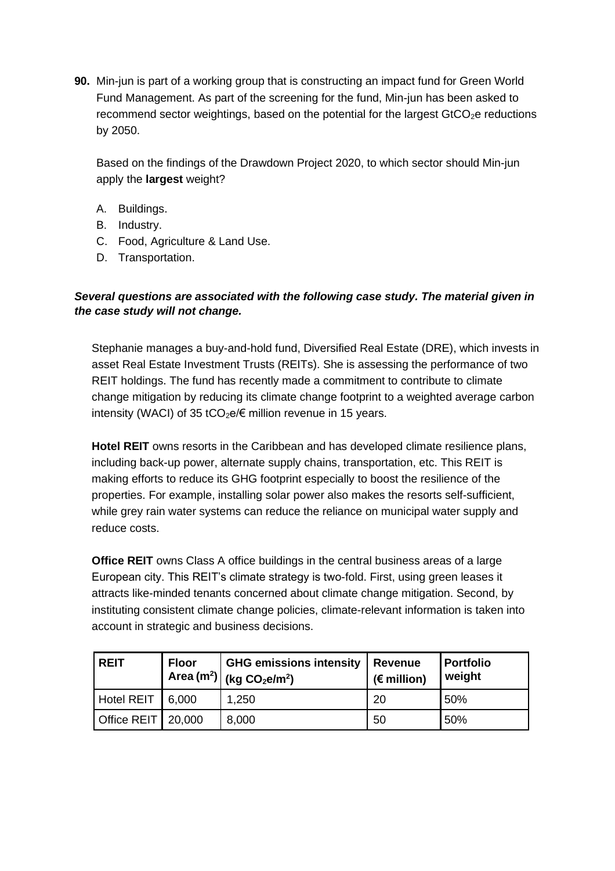**90.** Min-jun is part of a working group that is constructing an impact fund for Green World Fund Management. As part of the screening for the fund, Min-jun has been asked to recommend sector weightings, based on the potential for the largest  $GtCO<sub>2</sub>e$  reductions by 2050.

Based on the findings of the Drawdown Project 2020, to which sector should Min-jun apply the **largest** weight?

- A. Buildings.
- B. Industry.
- C. Food, Agriculture & Land Use.
- D. Transportation.

# *Several questions are associated with the following case study. The material given in the case study will not change.*

Stephanie manages a buy-and-hold fund, Diversified Real Estate (DRE), which invests in asset Real Estate Investment Trusts (REITs). She is assessing the performance of two REIT holdings. The fund has recently made a commitment to contribute to climate change mitigation by reducing its climate change footprint to a weighted average carbon intensity (WACI) of 35 tCO<sub>2</sub>e/ $\epsilon$  million revenue in 15 years.

**Hotel REIT** owns resorts in the Caribbean and has developed climate resilience plans, including back-up power, alternate supply chains, transportation, etc. This REIT is making efforts to reduce its GHG footprint especially to boost the resilience of the properties. For example, installing solar power also makes the resorts self-sufficient, while grey rain water systems can reduce the reliance on municipal water supply and reduce costs.

**Office REIT** owns Class A office buildings in the central business areas of a large European city. This REIT's climate strategy is two-fold. First, using green leases it attracts like-minded tenants concerned about climate change mitigation. Second, by instituting consistent climate change policies, climate-relevant information is taken into account in strategic and business decisions.

| <b>REIT</b> | <b>Floor</b> | <b>GHG emissions intensity</b><br>$_1$ Area (m <sup>2</sup> ) (kg CO <sub>2</sub> e/m <sup>2</sup> ) | Revenue<br>$(E$ million) | <b>Portfolio</b><br>weight |
|-------------|--------------|------------------------------------------------------------------------------------------------------|--------------------------|----------------------------|
| Hotel REIT  | 6.000        | 1.250                                                                                                | 20                       | 50%                        |
| Office REIT | 20,000       | 8,000                                                                                                | 50                       | 50%                        |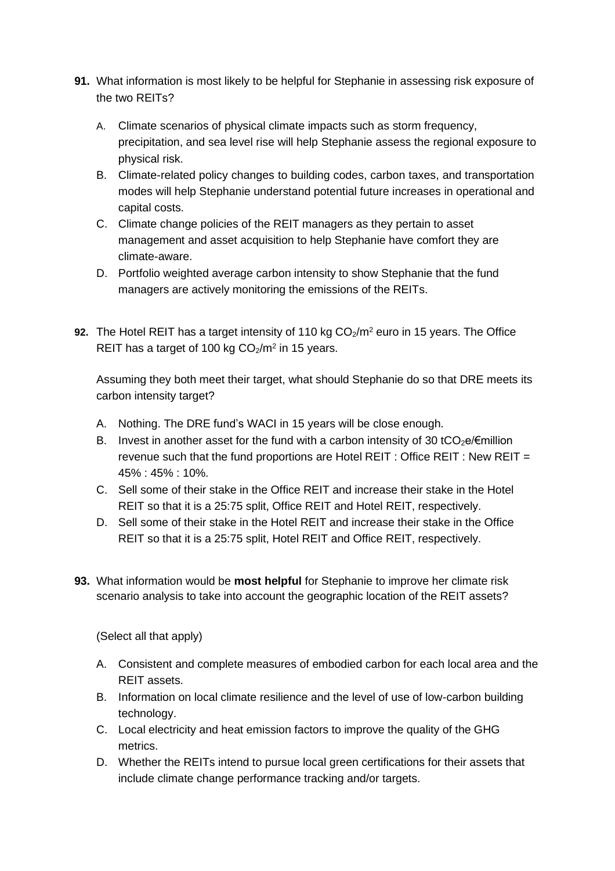- **91.** What information is most likely to be helpful for Stephanie in assessing risk exposure of the two REITs?
	- A. Climate scenarios of physical climate impacts such as storm frequency, precipitation, and sea level rise will help Stephanie assess the regional exposure to physical risk.
	- B. Climate-related policy changes to building codes, carbon taxes, and transportation modes will help Stephanie understand potential future increases in operational and capital costs.
	- C. Climate change policies of the REIT managers as they pertain to asset management and asset acquisition to help Stephanie have comfort they are climate-aware.
	- D. Portfolio weighted average carbon intensity to show Stephanie that the fund managers are actively monitoring the emissions of the REITs.
- **92.** The Hotel REIT has a target intensity of 110 kg CO<sub>2</sub>/m<sup>2</sup> euro in 15 years. The Office REIT has a target of 100 kg  $CO<sub>2</sub>/m<sup>2</sup>$  in 15 years.

Assuming they both meet their target, what should Stephanie do so that DRE meets its carbon intensity target?

- A. Nothing. The DRE fund's WACI in 15 years will be close enough.
- B. Invest in another asset for the fund with a carbon intensity of 30 tCO<sub>2</sub>e/ $\epsilon$ million revenue such that the fund proportions are Hotel REIT : Office REIT : New REIT = 45% : 45% : 10%.
- C. Sell some of their stake in the Office REIT and increase their stake in the Hotel REIT so that it is a 25:75 split, Office REIT and Hotel REIT, respectively.
- D. Sell some of their stake in the Hotel REIT and increase their stake in the Office REIT so that it is a 25:75 split, Hotel REIT and Office REIT, respectively.
- **93.** What information would be **most helpful** for Stephanie to improve her climate risk scenario analysis to take into account the geographic location of the REIT assets?

- A. Consistent and complete measures of embodied carbon for each local area and the REIT assets.
- B. Information on local climate resilience and the level of use of low-carbon building technology.
- C. Local electricity and heat emission factors to improve the quality of the GHG metrics.
- D. Whether the REITs intend to pursue local green certifications for their assets that include climate change performance tracking and/or targets.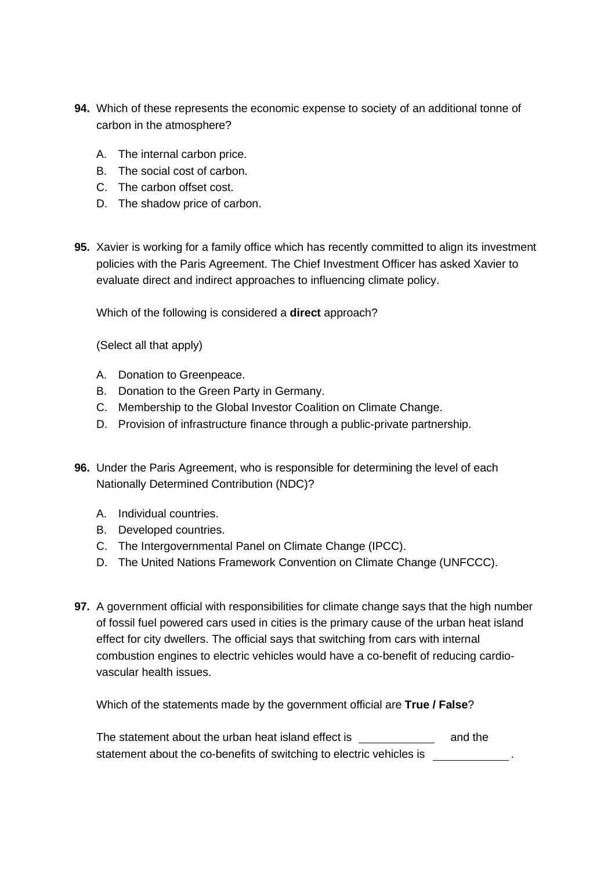- **94.** Which of these represents the economic expense to society of an additional tonne of carbon in the atmosphere?
	- A. The internal carbon price.
	- B. The social cost of carbon.
	- C. The carbon offset cost.
	- D. The shadow price of carbon.
- **95.** Xavier is working for a family office which has recently committed to align its investment policies with the Paris Agreement. The Chief Investment Officer has asked Xavier to evaluate direct and indirect approaches to influencing climate policy.

Which of the following is considered a **direct** approach?

(Select all that apply)

- A. Donation to Greenpeace.
- B. Donation to the Green Party in Germany.
- C. Membership to the Global Investor Coalition on Climate Change.
- D. Provision of infrastructure finance through a public-private partnership.
- **96.** Under the Paris Agreement, who is responsible for determining the level of each Nationally Determined Contribution (NDC)?
	- A. Individual countries.
	- B. Developed countries.
	- C. The Intergovernmental Panel on Climate Change (IPCC).
	- D. The United Nations Framework Convention on Climate Change (UNFCCC).
- **97.** A government official with responsibilities for climate change says that the high number of fossil fuel powered cars used in cities is the primary cause of the urban heat island effect for city dwellers. The official says that switching from cars with internal combustion engines to electric vehicles would have a co-benefit of reducing cardiovascular health issues.

Which of the statements made by the government official are **True / False**?

The statement about the urban heat island effect is \_\_\_\_\_\_\_\_\_\_\_\_\_\_\_\_ and the statement about the co-benefits of switching to electric vehicles is .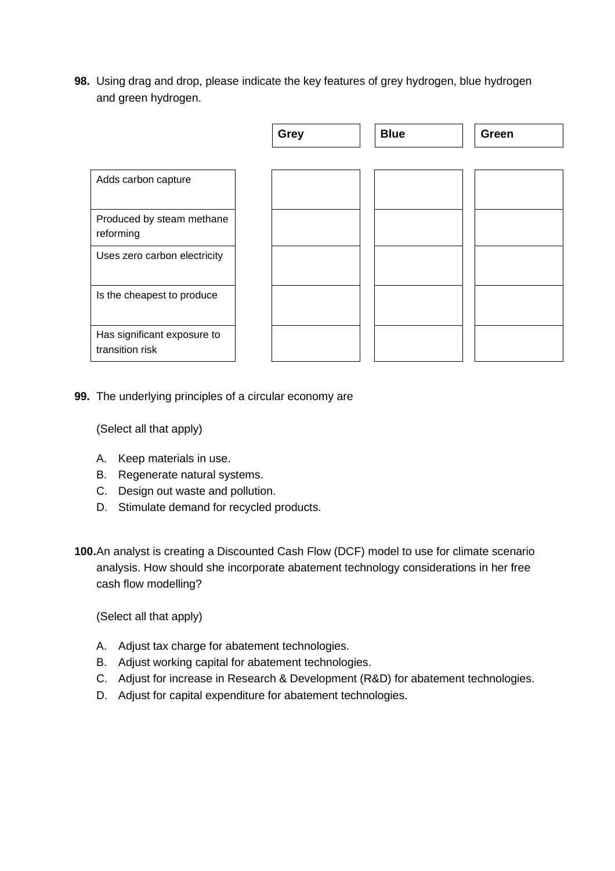**98.** Using drag and drop, please indicate the key features of grey hydrogen, blue hydrogen and green hydrogen.

|                                        | <b>Grey</b> | <b>Blue</b> | Green |
|----------------------------------------|-------------|-------------|-------|
|                                        |             |             |       |
| Adds carbon capture                    |             |             |       |
|                                        |             |             |       |
| Produced by steam methane<br>reforming |             |             |       |
| Uses zero carbon electricity           |             |             |       |
|                                        |             |             |       |
| Is the cheapest to produce             |             |             |       |
|                                        |             |             |       |
| Has significant exposure to            |             |             |       |
| transition risk                        |             |             |       |

**99.** The underlying principles of a circular economy are

(Select all that apply)

- A. Keep materials in use.
- B. Regenerate natural systems.
- C. Design out waste and pollution.
- D. Stimulate demand for recycled products.
- **100.**An analyst is creating a Discounted Cash Flow (DCF) model to use for climate scenario analysis. How should she incorporate abatement technology considerations in her free cash flow modelling?

- A. Adjust tax charge for abatement technologies.
- B. Adjust working capital for abatement technologies.
- C. Adjust for increase in Research & Development (R&D) for abatement technologies.
- D. Adjust for capital expenditure for abatement technologies.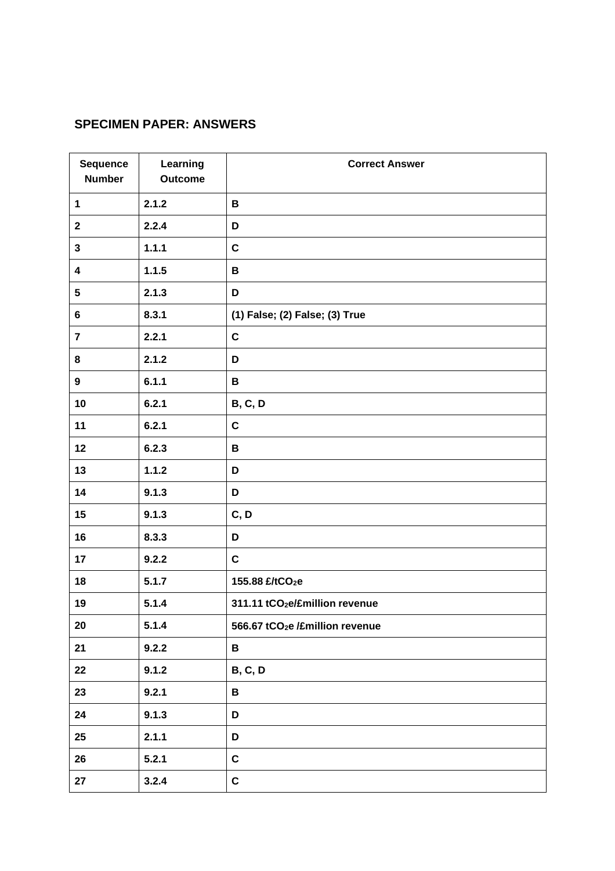# **SPECIMEN PAPER: ANSWERS**

| <b>Sequence</b><br><b>Number</b> | Learning<br><b>Outcome</b> | <b>Correct Answer</b>                       |
|----------------------------------|----------------------------|---------------------------------------------|
| 1                                | 2.1.2                      | B                                           |
| $\mathbf 2$                      | 2.2.4                      | D                                           |
| $\mathbf 3$                      | 1.1.1                      | $\mathbf c$                                 |
| $\overline{\mathbf{4}}$          | 1.1.5                      | B                                           |
| 5                                | 2.1.3                      | D                                           |
| $6\phantom{a}$                   | 8.3.1                      | (1) False; (2) False; (3) True              |
| $\overline{7}$                   | 2.2.1                      | $\mathbf C$                                 |
| 8                                | 2.1.2                      | D                                           |
| 9                                | 6.1.1                      | B                                           |
| 10                               | 6.2.1                      | <b>B, C, D</b>                              |
| 11                               | 6.2.1                      | $\mathbf C$                                 |
| 12                               | 6.2.3                      | B                                           |
| 13                               | 1.1.2                      | D                                           |
| 14                               | 9.1.3                      | D                                           |
| 15                               | 9.1.3                      | C, D                                        |
| 16                               | 8.3.3                      | D                                           |
| 17                               | 9.2.2                      | $\mathbf C$                                 |
| 18                               | 5.1.7                      | 155.88 £/tCO2e                              |
| 19                               | 5.1.4                      | 311.11 tCO <sub>2</sub> e/£million revenue  |
| 20                               | 5.1.4                      | 566.67 tCO <sub>2</sub> e /£million revenue |
| 21                               | 9.2.2                      | В                                           |
| 22                               | 9.1.2                      | <b>B, C, D</b>                              |
| 23                               | 9.2.1                      | B                                           |
| 24                               | 9.1.3                      | D                                           |
| 25                               | 2.1.1                      | D                                           |
| 26                               | 5.2.1                      | $\mathbf C$                                 |
| 27                               | 3.2.4                      | $\mathbf c$                                 |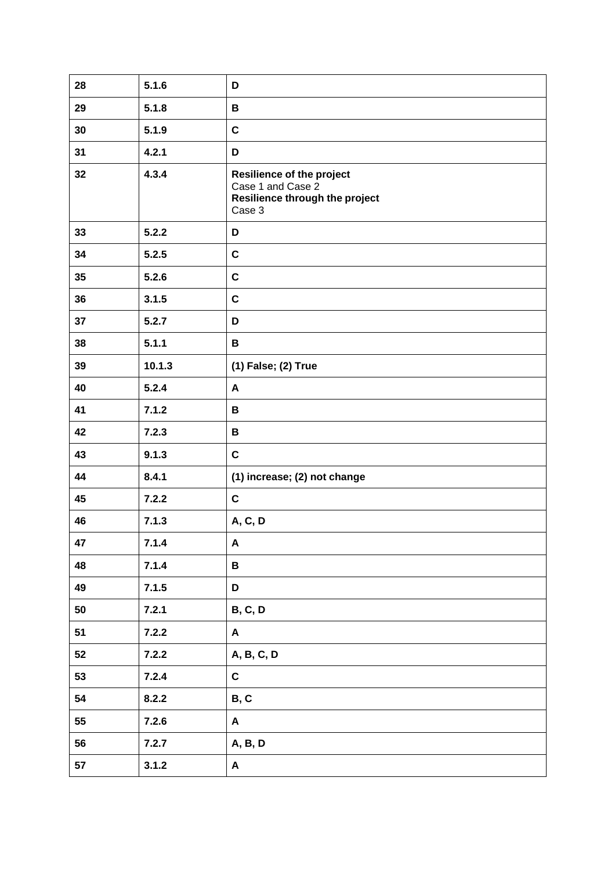| 28 | 5.1.6  | D                                                                                                 |
|----|--------|---------------------------------------------------------------------------------------------------|
| 29 | 5.1.8  | B                                                                                                 |
| 30 | 5.1.9  | $\mathbf c$                                                                                       |
| 31 | 4.2.1  | D                                                                                                 |
| 32 | 4.3.4  | <b>Resilience of the project</b><br>Case 1 and Case 2<br>Resilience through the project<br>Case 3 |
| 33 | 5.2.2  | D                                                                                                 |
| 34 | 5.2.5  | $\mathbf C$                                                                                       |
| 35 | 5.2.6  | $\mathbf c$                                                                                       |
| 36 | 3.1.5  | $\mathbf c$                                                                                       |
| 37 | 5.2.7  | D                                                                                                 |
| 38 | 5.1.1  | В                                                                                                 |
| 39 | 10.1.3 | (1) False; (2) True                                                                               |
| 40 | 5.2.4  | A                                                                                                 |
| 41 | 7.1.2  | B                                                                                                 |
| 42 | 7.2.3  | B                                                                                                 |
| 43 | 9.1.3  | $\mathbf c$                                                                                       |
| 44 | 8.4.1  | (1) increase; (2) not change                                                                      |
| 45 | 7.2.2  | $\mathbf C$                                                                                       |
| 46 | 7.1.3  | A, C, D                                                                                           |
| 47 | 7.1.4  | $\pmb{\mathsf{A}}$                                                                                |
| 48 | 7.1.4  | B                                                                                                 |
| 49 | 7.1.5  | D                                                                                                 |
| 50 | 7.2.1  | <b>B, C, D</b>                                                                                    |
| 51 | 7.2.2  | A                                                                                                 |
| 52 | 7.2.2  | A, B, C, D                                                                                        |
| 53 | 7.2.4  | $\mathbf C$                                                                                       |
| 54 | 8.2.2  | B, C                                                                                              |
| 55 | 7.2.6  | A                                                                                                 |
| 56 | 7.2.7  | A, B, D                                                                                           |
| 57 | 3.1.2  | A                                                                                                 |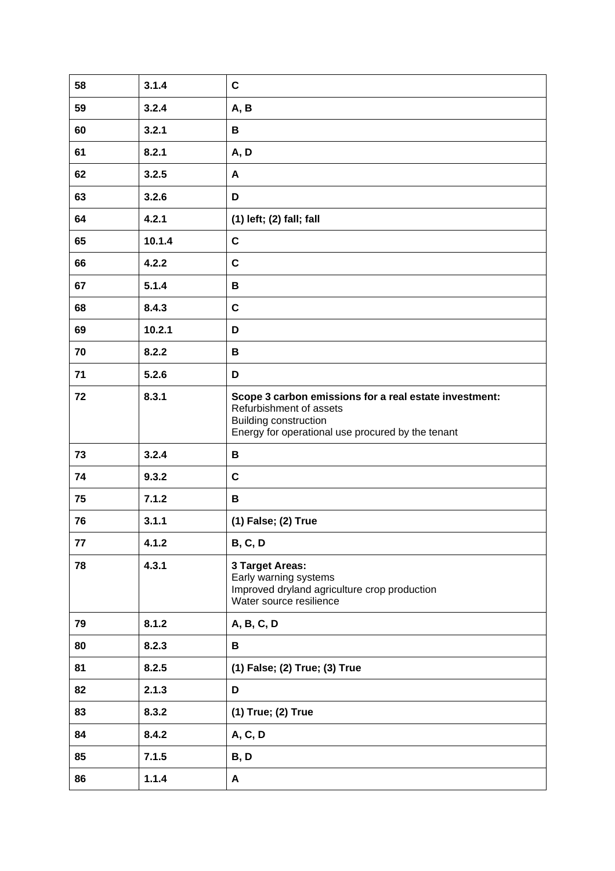| 58 | 3.1.4  | $\mathbf c$                                                                                                                                                            |
|----|--------|------------------------------------------------------------------------------------------------------------------------------------------------------------------------|
| 59 | 3.2.4  | A, B                                                                                                                                                                   |
| 60 | 3.2.1  | В                                                                                                                                                                      |
| 61 | 8.2.1  | A, D                                                                                                                                                                   |
| 62 | 3.2.5  | A                                                                                                                                                                      |
| 63 | 3.2.6  | D                                                                                                                                                                      |
| 64 | 4.2.1  | (1) left; (2) fall; fall                                                                                                                                               |
| 65 | 10.1.4 | $\mathbf c$                                                                                                                                                            |
| 66 | 4.2.2  | $\mathbf c$                                                                                                                                                            |
| 67 | 5.1.4  | B                                                                                                                                                                      |
| 68 | 8.4.3  | $\mathbf c$                                                                                                                                                            |
| 69 | 10.2.1 | D                                                                                                                                                                      |
| 70 | 8.2.2  | В                                                                                                                                                                      |
| 71 | 5.2.6  | D                                                                                                                                                                      |
| 72 | 8.3.1  | Scope 3 carbon emissions for a real estate investment:<br>Refurbishment of assets<br><b>Building construction</b><br>Energy for operational use procured by the tenant |
| 73 | 3.2.4  | B                                                                                                                                                                      |
| 74 | 9.3.2  | $\mathbf c$                                                                                                                                                            |
| 75 | 7.1.2  | B                                                                                                                                                                      |
| 76 | 3.1.1  | (1) False; (2) True                                                                                                                                                    |
| 77 | 4.1.2  | <b>B, C, D</b>                                                                                                                                                         |
| 78 | 4.3.1  | 3 Target Areas:<br>Early warning systems<br>Improved dryland agriculture crop production<br>Water source resilience                                                    |
| 79 | 8.1.2  | A, B, C, D                                                                                                                                                             |
| 80 | 8.2.3  | B                                                                                                                                                                      |
| 81 | 8.2.5  | (1) False; (2) True; (3) True                                                                                                                                          |
| 82 | 2.1.3  | D                                                                                                                                                                      |
| 83 | 8.3.2  | (1) True; (2) True                                                                                                                                                     |
| 84 | 8.4.2  | A, C, D                                                                                                                                                                |
| 85 | 7.1.5  | B, D                                                                                                                                                                   |
| 86 | 1.1.4  | A                                                                                                                                                                      |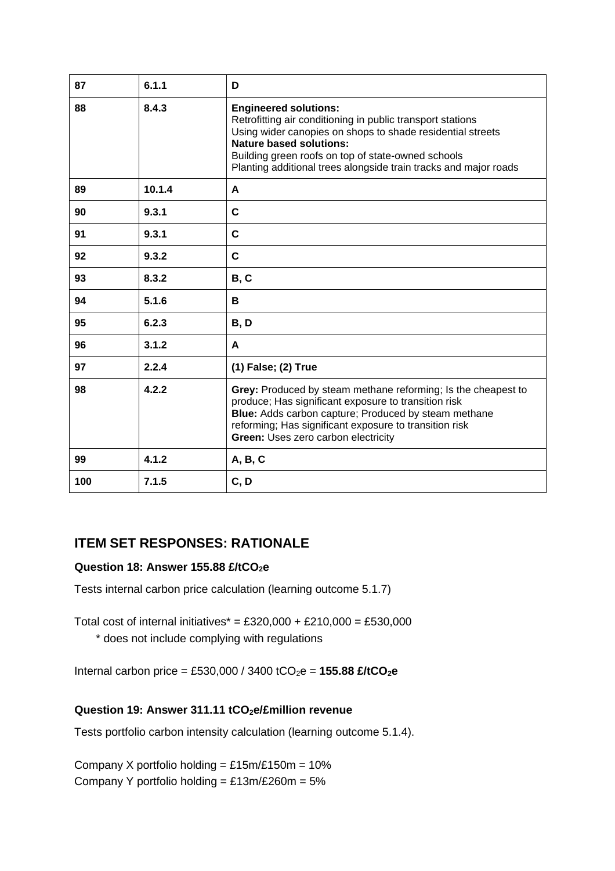| 87  | 6.1.1  | D                                                                                                                                                                                                                                                                                                                    |
|-----|--------|----------------------------------------------------------------------------------------------------------------------------------------------------------------------------------------------------------------------------------------------------------------------------------------------------------------------|
| 88  | 8.4.3  | <b>Engineered solutions:</b><br>Retrofitting air conditioning in public transport stations<br>Using wider canopies on shops to shade residential streets<br><b>Nature based solutions:</b><br>Building green roofs on top of state-owned schools<br>Planting additional trees alongside train tracks and major roads |
| 89  | 10.1.4 | A                                                                                                                                                                                                                                                                                                                    |
| 90  | 9.3.1  | C                                                                                                                                                                                                                                                                                                                    |
| 91  | 9.3.1  | $\mathbf c$                                                                                                                                                                                                                                                                                                          |
| 92  | 9.3.2  | C                                                                                                                                                                                                                                                                                                                    |
| 93  | 8.3.2  | <b>B, C</b>                                                                                                                                                                                                                                                                                                          |
| 94  | 5.1.6  | В                                                                                                                                                                                                                                                                                                                    |
| 95  | 6.2.3  | B, D                                                                                                                                                                                                                                                                                                                 |
| 96  | 3.1.2  | A                                                                                                                                                                                                                                                                                                                    |
| 97  | 2.2.4  | (1) False; (2) True                                                                                                                                                                                                                                                                                                  |
| 98  | 4.2.2  | Grey: Produced by steam methane reforming; Is the cheapest to<br>produce; Has significant exposure to transition risk<br>Blue: Adds carbon capture; Produced by steam methane<br>reforming; Has significant exposure to transition risk<br>Green: Uses zero carbon electricity                                       |
| 99  | 4.1.2  | A, B, C                                                                                                                                                                                                                                                                                                              |
| 100 | 7.1.5  | C, D                                                                                                                                                                                                                                                                                                                 |

# **ITEM SET RESPONSES: RATIONALE**

# **Question 18: Answer 155.88 £/tCO2e**

Tests internal carbon price calculation (learning outcome 5.1.7)

Total cost of internal initiatives\* = £320,000 + £210,000 = £530,000

\* does not include complying with regulations

Internal carbon price = £530,000 / 3400 tCO2e = **155.88 £/tCO2e**

# **Question 19: Answer 311.11 tCO2e/£million revenue**

Tests portfolio carbon intensity calculation (learning outcome 5.1.4).

Company X portfolio holding =  $£15m/£150m = 10%$ Company Y portfolio holding =  $£13m/£260m = 5%$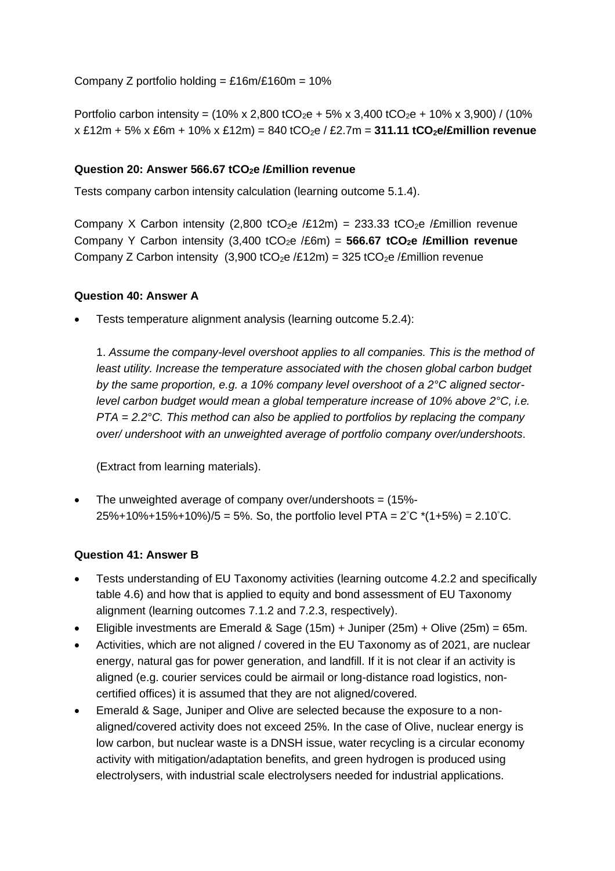Company Z portfolio holding =  $£16m/£160m = 10%$ 

Portfolio carbon intensity =  $(10\% \times 2,800 \text{ tCO}_2\text{e} + 5\% \times 3,400 \text{ tCO}_2\text{e} + 10\% \times 3,900)$  /  $(10\%$ x £12m + 5% x £6m + 10% x £12m) = 840 tCO2e / £2.7m = **311.11 tCO2e/£million revenue**

#### **Question 20: Answer 566.67 tCO2e /£million revenue**

Tests company carbon intensity calculation (learning outcome 5.1.4).

Company X Carbon intensity (2,800 tCO<sub>2</sub>e /£12m) = 233.33 tCO<sub>2</sub>e /£million revenue Company Y Carbon intensity (3,400 tCO2e /£6m) = **566.67 tCO2e /£million revenue** Company Z Carbon intensity (3,900 tCO<sub>2</sub>e /£12m) = 325 tCO<sub>2</sub>e /£million revenue

#### **Question 40: Answer A**

• Tests temperature alignment analysis (learning outcome 5.2.4):

1. *Assume the company-level overshoot applies to all companies. This is the method of least utility. Increase the temperature associated with the chosen global carbon budget by the same proportion, e.g. a 10% company level overshoot of a 2°C aligned sectorlevel carbon budget would mean a global temperature increase of 10% above 2°C, i.e. PTA = 2.2°C. This method can also be applied to portfolios by replacing the company over/ undershoot with an unweighted average of portfolio company over/undershoots*.

(Extract from learning materials).

The unweighted average of company over/undershoots  $=$  (15%-25%+10%+15%+10%)/5 = 5%. So, the portfolio level PTA = 2 °C \*(1+5%) = 2.10°C.

#### **Question 41: Answer B**

- Tests understanding of EU Taxonomy activities (learning outcome 4.2.2 and specifically table 4.6) and how that is applied to equity and bond assessment of EU Taxonomy alignment (learning outcomes 7.1.2 and 7.2.3, respectively).
- Eligible investments are Emerald & Sage  $(15m) +$  Juniper  $(25m) +$  Olive  $(25m) = 65m$ .
- Activities, which are not aligned / covered in the EU Taxonomy as of 2021, are nuclear energy, natural gas for power generation, and landfill. If it is not clear if an activity is aligned (e.g. courier services could be airmail or long-distance road logistics, noncertified offices) it is assumed that they are not aligned/covered.
- Emerald & Sage, Juniper and Olive are selected because the exposure to a nonaligned/covered activity does not exceed 25%. In the case of Olive, nuclear energy is low carbon, but nuclear waste is a DNSH issue, water recycling is a circular economy activity with mitigation/adaptation benefits, and green hydrogen is produced using electrolysers, with industrial scale electrolysers needed for industrial applications.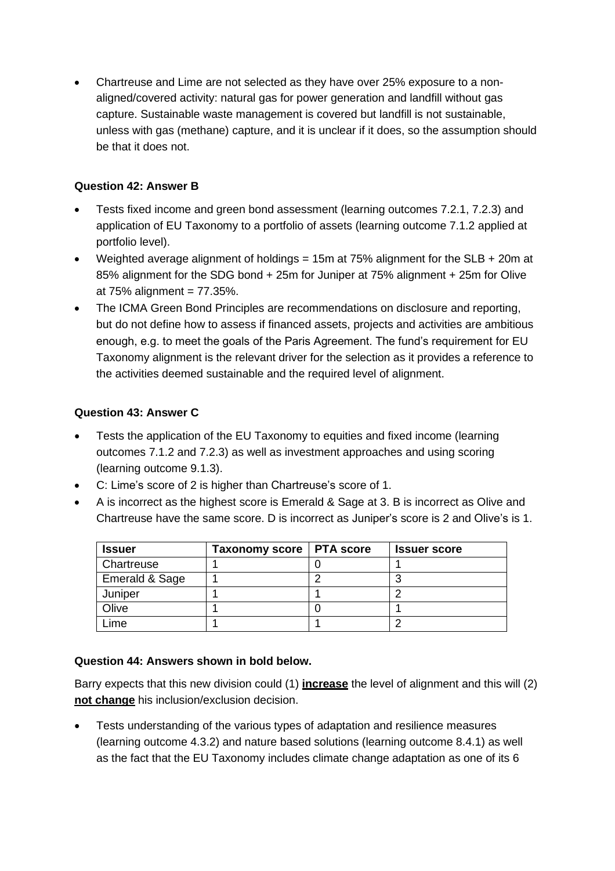• Chartreuse and Lime are not selected as they have over 25% exposure to a nonaligned/covered activity: natural gas for power generation and landfill without gas capture. Sustainable waste management is covered but landfill is not sustainable, unless with gas (methane) capture, and it is unclear if it does, so the assumption should be that it does not.

# **Question 42: Answer B**

- Tests fixed income and green bond assessment (learning outcomes 7.2.1, 7.2.3) and application of EU Taxonomy to a portfolio of assets (learning outcome 7.1.2 applied at portfolio level).
- Weighted average alignment of holdings = 15m at 75% alignment for the SLB + 20m at 85% alignment for the SDG bond + 25m for Juniper at 75% alignment + 25m for Olive at  $75\%$  alignment =  $77.35\%$ .
- The ICMA Green Bond Principles are recommendations on disclosure and reporting, but do not define how to assess if financed assets, projects and activities are ambitious enough, e.g. to meet the goals of the Paris Agreement. The fund's requirement for EU Taxonomy alignment is the relevant driver for the selection as it provides a reference to the activities deemed sustainable and the required level of alignment.

# **Question 43: Answer C**

- Tests the application of the EU Taxonomy to equities and fixed income (learning outcomes 7.1.2 and 7.2.3) as well as investment approaches and using scoring (learning outcome 9.1.3).
- C: Lime's score of 2 is higher than Chartreuse's score of 1.
- A is incorrect as the highest score is Emerald & Sage at 3. B is incorrect as Olive and Chartreuse have the same score. D is incorrect as Juniper's score is 2 and Olive's is 1.

| <b>Issuer</b>  | Taxonomy score   PTA score | <b>Issuer score</b> |
|----------------|----------------------------|---------------------|
| Chartreuse     |                            |                     |
| Emerald & Sage |                            |                     |
| Juniper        |                            |                     |
| Olive          |                            |                     |
| _ime           |                            |                     |

# **Question 44: Answers shown in bold below.**

Barry expects that this new division could (1) **increase** the level of alignment and this will (2) **not change** his inclusion/exclusion decision.

• Tests understanding of the various types of adaptation and resilience measures (learning outcome 4.3.2) and nature based solutions (learning outcome 8.4.1) as well as the fact that the EU Taxonomy includes climate change adaptation as one of its 6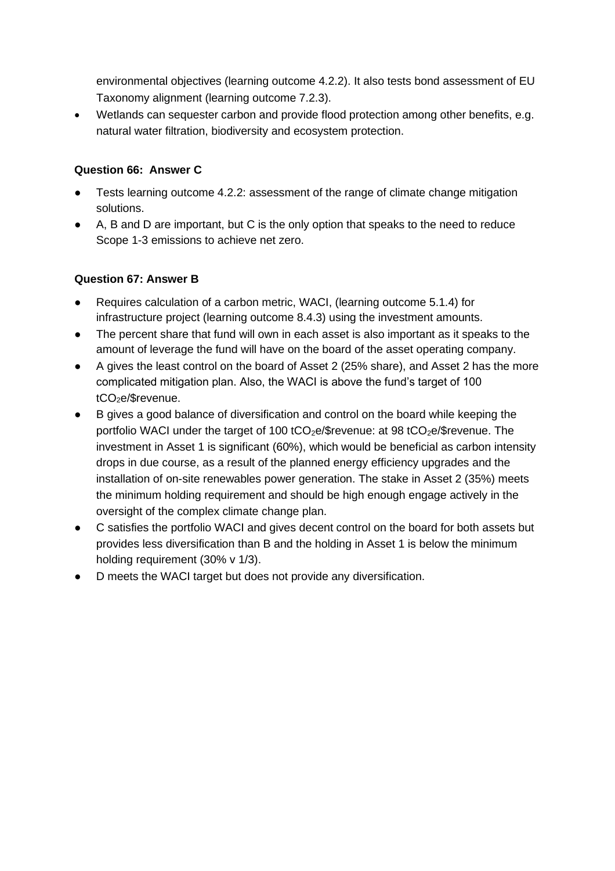environmental objectives (learning outcome 4.2.2). It also tests bond assessment of EU Taxonomy alignment (learning outcome 7.2.3).

• Wetlands can sequester carbon and provide flood protection among other benefits, e.g. natural water filtration, biodiversity and ecosystem protection.

# **Question 66: Answer C**

- Tests learning outcome 4.2.2: assessment of the range of climate change mitigation solutions.
- A, B and D are important, but C is the only option that speaks to the need to reduce Scope 1-3 emissions to achieve net zero.

# **Question 67: Answer B**

- Requires calculation of a carbon metric, WACI, (learning outcome 5.1.4) for infrastructure project (learning outcome 8.4.3) using the investment amounts.
- The percent share that fund will own in each asset is also important as it speaks to the amount of leverage the fund will have on the board of the asset operating company.
- A gives the least control on the board of Asset 2 (25% share), and Asset 2 has the more complicated mitigation plan. Also, the WACI is above the fund's target of 100  $tCO<sub>2</sub>e/$$ revenue.
- B gives a good balance of diversification and control on the board while keeping the portfolio WACI under the target of 100 tCO<sub>2</sub>e/\$revenue: at 98 tCO<sub>2</sub>e/\$revenue. The investment in Asset 1 is significant (60%), which would be beneficial as carbon intensity drops in due course, as a result of the planned energy efficiency upgrades and the installation of on-site renewables power generation. The stake in Asset 2 (35%) meets the minimum holding requirement and should be high enough engage actively in the oversight of the complex climate change plan.
- C satisfies the portfolio WACI and gives decent control on the board for both assets but provides less diversification than B and the holding in Asset 1 is below the minimum holding requirement (30% v 1/3).
- D meets the WACI target but does not provide any diversification.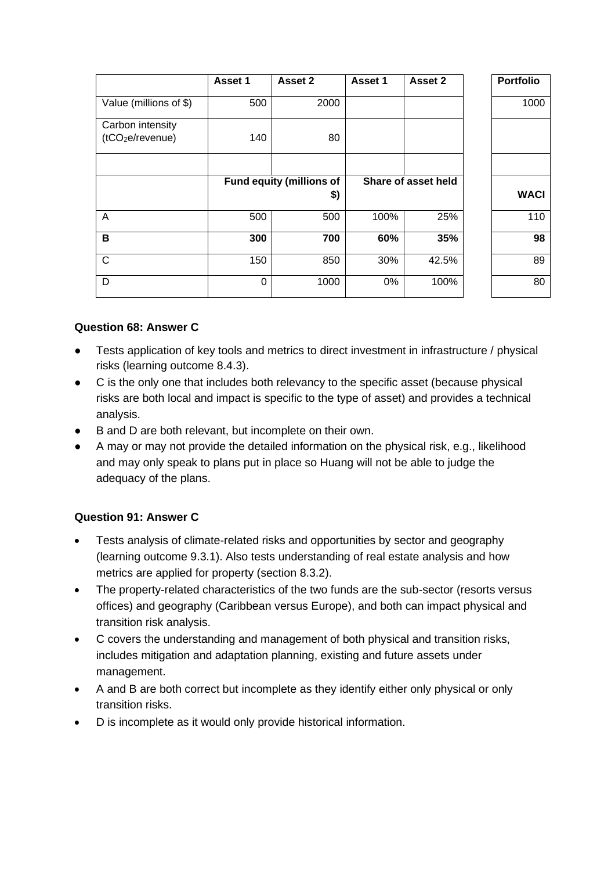|                              | Asset 1 | Asset 2                         | Asset 1             | Asset 2 | <b>Portfolio</b> |
|------------------------------|---------|---------------------------------|---------------------|---------|------------------|
| Value (millions of \$)       | 500     | 2000                            |                     |         | 1000             |
| Carbon intensity             |         |                                 |                     |         |                  |
| (tCO <sub>2</sub> e/revenue) | 140     | 80                              |                     |         |                  |
|                              |         |                                 |                     |         |                  |
|                              |         | <b>Fund equity (millions of</b> | Share of asset held |         |                  |
|                              |         | \$)                             |                     |         | <b>WACI</b>      |
| A                            | 500     | 500                             | 100%                | 25%     | 110              |
| B                            | 300     | 700                             | 60%                 | 35%     | 98               |
| C                            | 150     | 850                             | 30%                 | 42.5%   | 89               |
| D                            | 0       | 1000                            | 0%                  | 100%    | 80               |

# **Question 68: Answer C**

- Tests application of key tools and metrics to direct investment in infrastructure / physical risks (learning outcome 8.4.3).
- C is the only one that includes both relevancy to the specific asset (because physical risks are both local and impact is specific to the type of asset) and provides a technical analysis.
- B and D are both relevant, but incomplete on their own.
- A may or may not provide the detailed information on the physical risk, e.g., likelihood and may only speak to plans put in place so Huang will not be able to judge the adequacy of the plans.

# **Question 91: Answer C**

- Tests analysis of climate-related risks and opportunities by sector and geography (learning outcome 9.3.1). Also tests understanding of real estate analysis and how metrics are applied for property (section 8.3.2).
- The property-related characteristics of the two funds are the sub-sector (resorts versus offices) and geography (Caribbean versus Europe), and both can impact physical and transition risk analysis.
- C covers the understanding and management of both physical and transition risks, includes mitigation and adaptation planning, existing and future assets under management.
- A and B are both correct but incomplete as they identify either only physical or only transition risks.
- D is incomplete as it would only provide historical information.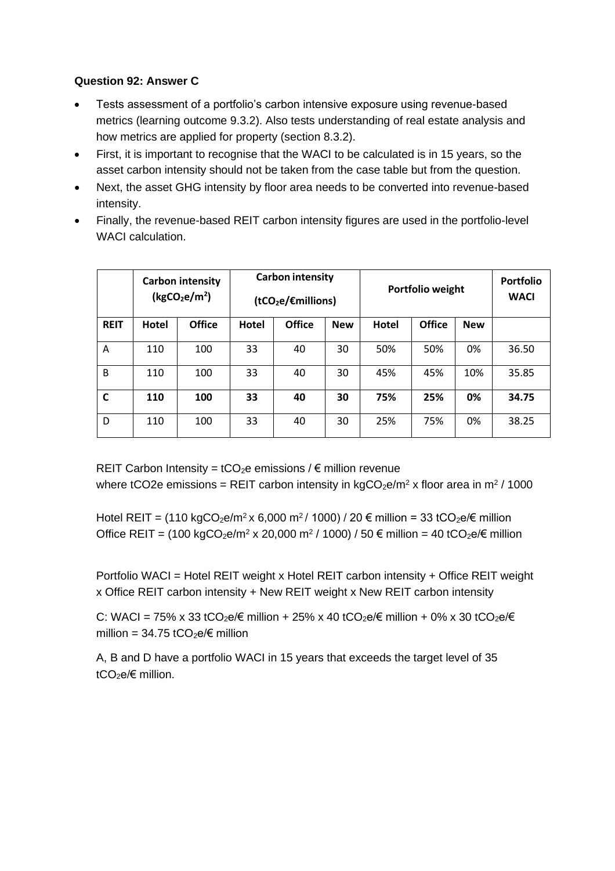# **Question 92: Answer C**

- Tests assessment of a portfolio's carbon intensive exposure using revenue-based metrics (learning outcome 9.3.2). Also tests understanding of real estate analysis and how metrics are applied for property (section 8.3.2).
- First, it is important to recognise that the WACI to be calculated is in 15 years, so the asset carbon intensity should not be taken from the case table but from the question.
- Next, the asset GHG intensity by floor area needs to be converted into revenue-based intensity.
- Finally, the revenue-based REIT carbon intensity figures are used in the portfolio-level WACI calculation.

|             |       | <b>Carbon intensity</b><br>(kgCO <sub>2</sub> e/m <sup>2</sup> ) | <b>Carbon intensity</b><br>(tCO <sub>2</sub> e/Emillions) |               | Portfolio weight |       |               | <b>Portfolio</b><br><b>WACI</b> |       |
|-------------|-------|------------------------------------------------------------------|-----------------------------------------------------------|---------------|------------------|-------|---------------|---------------------------------|-------|
| <b>REIT</b> | Hotel | <b>Office</b>                                                    | <b>Hotel</b>                                              | <b>Office</b> | <b>New</b>       | Hotel | <b>Office</b> | <b>New</b>                      |       |
| A           | 110   | 100                                                              | 33                                                        | 40            | 30               | 50%   | 50%           | 0%                              | 36.50 |
| B           | 110   | 100                                                              | 33                                                        | 40            | 30               | 45%   | 45%           | 10%                             | 35.85 |
| C           | 110   | 100                                                              | 33                                                        | 40            | 30               | 75%   | 25%           | 0%                              | 34.75 |
| D           | 110   | 100                                                              | 33                                                        | 40            | 30               | 25%   | 75%           | 0%                              | 38.25 |

REIT Carbon Intensity =  $tCO<sub>2</sub>e$  emissions /  $\epsilon$  million revenue where tCO2e emissions = REIT carbon intensity in kgCO<sub>2</sub>e/m<sup>2</sup> x floor area in m<sup>2</sup> / 1000

Hotel REIT = (110 kgCO $_2$ e/m $^2$ x 6,000 m $^2$ / 1000) / 20 € million = 33 tCO $_2$ e/€ million Office REIT = (100 kgCO<sub>2</sub>e/m<sup>2</sup> x 20,000 m<sup>2</sup> / 1000) / 50 € million = 40 tCO<sub>2</sub>e/€ million

Portfolio WACI = Hotel REIT weight x Hotel REIT carbon intensity + Office REIT weight x Office REIT carbon intensity + New REIT weight x New REIT carbon intensity

C: WACI = 75% x 33 tCO<sub>2</sub>e/ $\epsilon$  million + 25% x 40 tCO<sub>2</sub>e/ $\epsilon$  million + 0% x 30 tCO<sub>2</sub>e/ $\epsilon$ million =  $34.75$  tCO<sub>2</sub>e/ $\epsilon$  million

A, B and D have a portfolio WACI in 15 years that exceeds the target level of 35 tCO<sub>2</sub>e/ $\epsilon$  million.